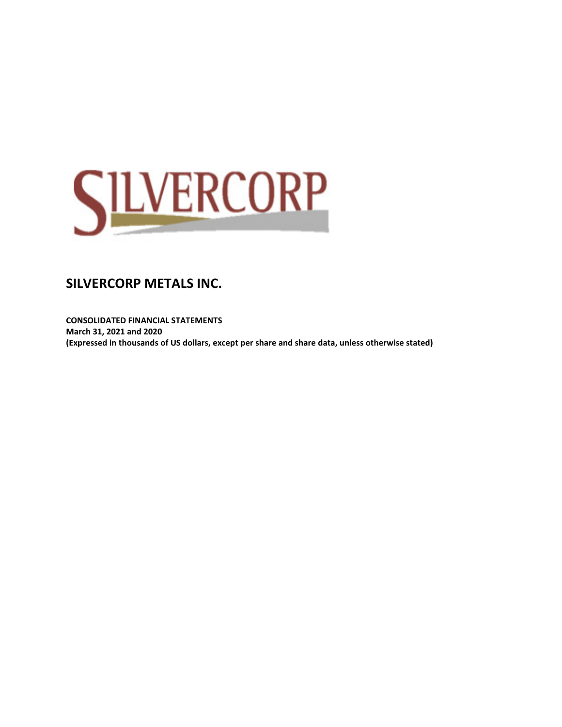

**CONSOLIDATED FINANCIAL STATEMENTS March 31, 2021 and 2020 (Expressed in thousands of US dollars, except per share and share data, unless otherwise stated)**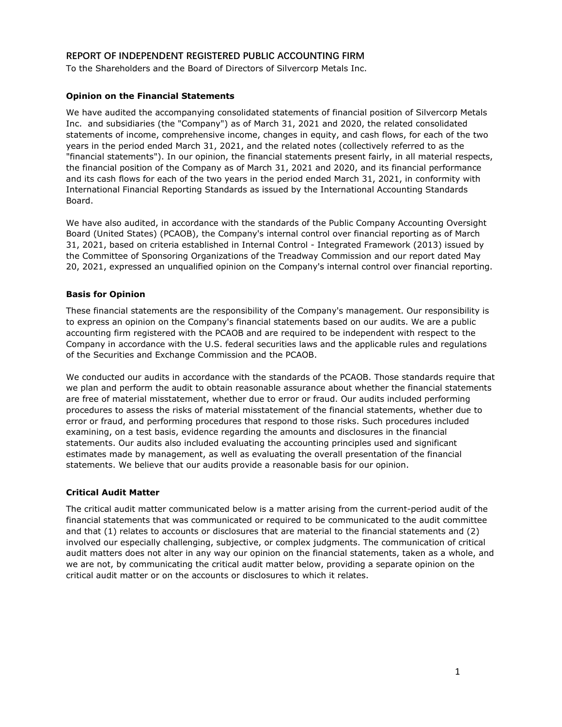#### **REPORT OF INDEPENDENT REGISTERED PUBLIC ACCOUNTING FIRM**

To the Shareholders and the Board of Directors of Silvercorp Metals Inc.

#### **Opinion on the Financial Statements**

We have audited the accompanying consolidated statements of financial position of Silvercorp Metals Inc. and subsidiaries (the "Company") as of March 31, 2021 and 2020, the related consolidated statements of income, comprehensive income, changes in equity, and cash flows, for each of the two years in the period ended March 31, 2021, and the related notes (collectively referred to as the "financial statements"). In our opinion, the financial statements present fairly, in all material respects, the financial position of the Company as of March 31, 2021 and 2020, and its financial performance and its cash flows for each of the two years in the period ended March 31, 2021, in conformity with International Financial Reporting Standards as issued by the International Accounting Standards Board.

We have also audited, in accordance with the standards of the Public Company Accounting Oversight Board (United States) (PCAOB), the Company's internal control over financial reporting as of March 31, 2021, based on criteria established in Internal Control - Integrated Framework (2013) issued by the Committee of Sponsoring Organizations of the Treadway Commission and our report dated May 20, 2021, expressed an unqualified opinion on the Company's internal control over financial reporting.

#### **Basis for Opinion**

These financial statements are the responsibility of the Company's management. Our responsibility is to express an opinion on the Company's financial statements based on our audits. We are a public accounting firm registered with the PCAOB and are required to be independent with respect to the Company in accordance with the U.S. federal securities laws and the applicable rules and regulations of the Securities and Exchange Commission and the PCAOB.

We conducted our audits in accordance with the standards of the PCAOB. Those standards require that we plan and perform the audit to obtain reasonable assurance about whether the financial statements are free of material misstatement, whether due to error or fraud. Our audits included performing procedures to assess the risks of material misstatement of the financial statements, whether due to error or fraud, and performing procedures that respond to those risks. Such procedures included examining, on a test basis, evidence regarding the amounts and disclosures in the financial statements. Our audits also included evaluating the accounting principles used and significant estimates made by management, as well as evaluating the overall presentation of the financial statements. We believe that our audits provide a reasonable basis for our opinion.

#### **Critical Audit Matter**

The critical audit matter communicated below is a matter arising from the current-period audit of the financial statements that was communicated or required to be communicated to the audit committee and that (1) relates to accounts or disclosures that are material to the financial statements and (2) involved our especially challenging, subjective, or complex judgments. The communication of critical audit matters does not alter in any way our opinion on the financial statements, taken as a whole, and we are not, by communicating the critical audit matter below, providing a separate opinion on the critical audit matter or on the accounts or disclosures to which it relates.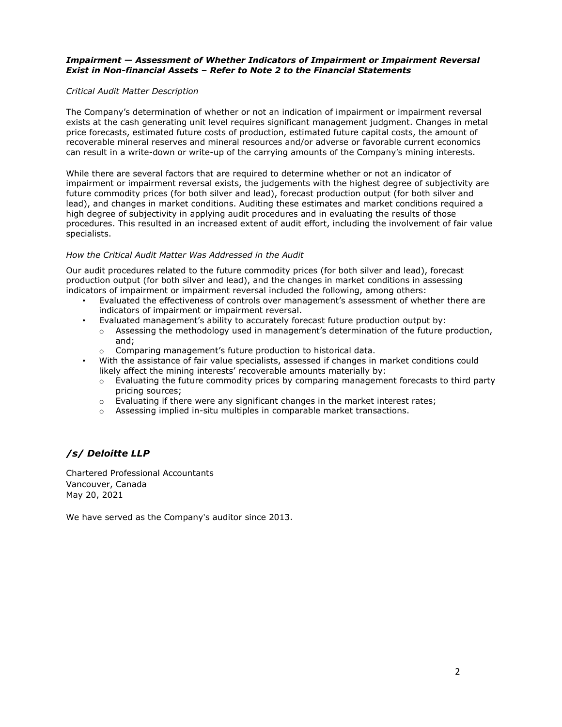#### *Impairment — Assessment of Whether Indicators of Impairment or Impairment Reversal Exist in Non-financial Assets – Refer to Note 2 to the Financial Statements*

#### *Critical Audit Matter Description*

The Company's determination of whether or not an indication of impairment or impairment reversal exists at the cash generating unit level requires significant management judgment. Changes in metal price forecasts, estimated future costs of production, estimated future capital costs, the amount of recoverable mineral reserves and mineral resources and/or adverse or favorable current economics can result in a write-down or write-up of the carrying amounts of the Company's mining interests.

While there are several factors that are required to determine whether or not an indicator of impairment or impairment reversal exists, the judgements with the highest degree of subjectivity are future commodity prices (for both silver and lead), forecast production output (for both silver and lead), and changes in market conditions. Auditing these estimates and market conditions required a high degree of subjectivity in applying audit procedures and in evaluating the results of those procedures. This resulted in an increased extent of audit effort, including the involvement of fair value specialists.

#### *How the Critical Audit Matter Was Addressed in the Audit*

Our audit procedures related to the future commodity prices (for both silver and lead), forecast production output (for both silver and lead), and the changes in market conditions in assessing indicators of impairment or impairment reversal included the following, among others:

- Evaluated the effectiveness of controls over management's assessment of whether there are indicators of impairment or impairment reversal.
- Evaluated management's ability to accurately forecast future production output by:
	- o Assessing the methodology used in management's determination of the future production, and;
	- o Comparing management's future production to historical data.
	- With the assistance of fair value specialists, assessed if changes in market conditions could likely affect the mining interests' recoverable amounts materially by:
		- $\circ$  Evaluating the future commodity prices by comparing management forecasts to third party pricing sources;
		- $\circ$  Evaluating if there were any significant changes in the market interest rates;
		- o Assessing implied in-situ multiples in comparable market transactions.

### */s/ Deloitte LLP*

Chartered Professional Accountants Vancouver, Canada May 20, 2021

We have served as the Company's auditor since 2013.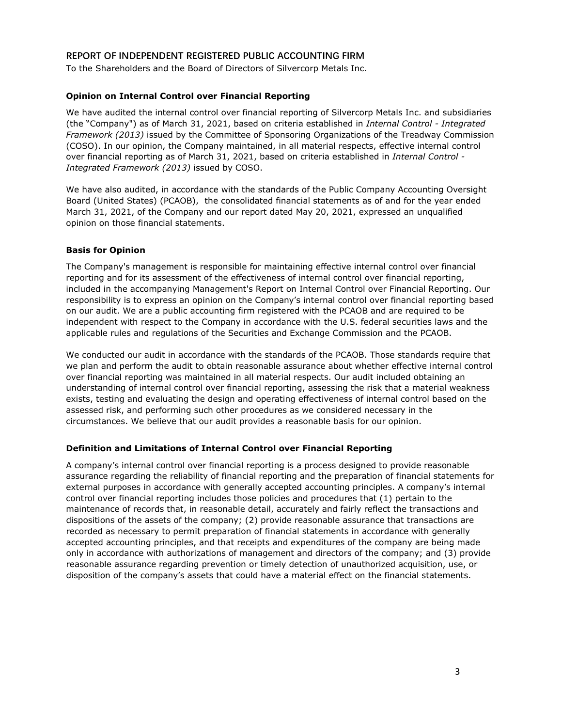#### **REPORT OF INDEPENDENT REGISTERED PUBLIC ACCOUNTING FIRM**

To the Shareholders and the Board of Directors of Silvercorp Metals Inc.

#### **Opinion on Internal Control over Financial Reporting**

We have audited the internal control over financial reporting of Silvercorp Metals Inc. and subsidiaries (the "Company") as of March 31, 2021, based on criteria established in *Internal Control - Integrated Framework (2013)* issued by the Committee of Sponsoring Organizations of the Treadway Commission (COSO). In our opinion, the Company maintained, in all material respects, effective internal control over financial reporting as of March 31, 2021, based on criteria established in *Internal Control - Integrated Framework (2013)* issued by COSO.

We have also audited, in accordance with the standards of the Public Company Accounting Oversight Board (United States) (PCAOB), the consolidated financial statements as of and for the year ended March 31, 2021, of the Company and our report dated May 20, 2021, expressed an unqualified opinion on those financial statements.

#### **Basis for Opinion**

The Company's management is responsible for maintaining effective internal control over financial reporting and for its assessment of the effectiveness of internal control over financial reporting, included in the accompanying Management's Report on Internal Control over Financial Reporting. Our responsibility is to express an opinion on the Company's internal control over financial reporting based on our audit. We are a public accounting firm registered with the PCAOB and are required to be independent with respect to the Company in accordance with the U.S. federal securities laws and the applicable rules and regulations of the Securities and Exchange Commission and the PCAOB.

We conducted our audit in accordance with the standards of the PCAOB. Those standards require that we plan and perform the audit to obtain reasonable assurance about whether effective internal control over financial reporting was maintained in all material respects. Our audit included obtaining an understanding of internal control over financial reporting, assessing the risk that a material weakness exists, testing and evaluating the design and operating effectiveness of internal control based on the assessed risk, and performing such other procedures as we considered necessary in the circumstances. We believe that our audit provides a reasonable basis for our opinion.

#### **Definition and Limitations of Internal Control over Financial Reporting**

A company's internal control over financial reporting is a process designed to provide reasonable assurance regarding the reliability of financial reporting and the preparation of financial statements for external purposes in accordance with generally accepted accounting principles. A company's internal control over financial reporting includes those policies and procedures that (1) pertain to the maintenance of records that, in reasonable detail, accurately and fairly reflect the transactions and dispositions of the assets of the company; (2) provide reasonable assurance that transactions are recorded as necessary to permit preparation of financial statements in accordance with generally accepted accounting principles, and that receipts and expenditures of the company are being made only in accordance with authorizations of management and directors of the company; and (3) provide reasonable assurance regarding prevention or timely detection of unauthorized acquisition, use, or disposition of the company's assets that could have a material effect on the financial statements.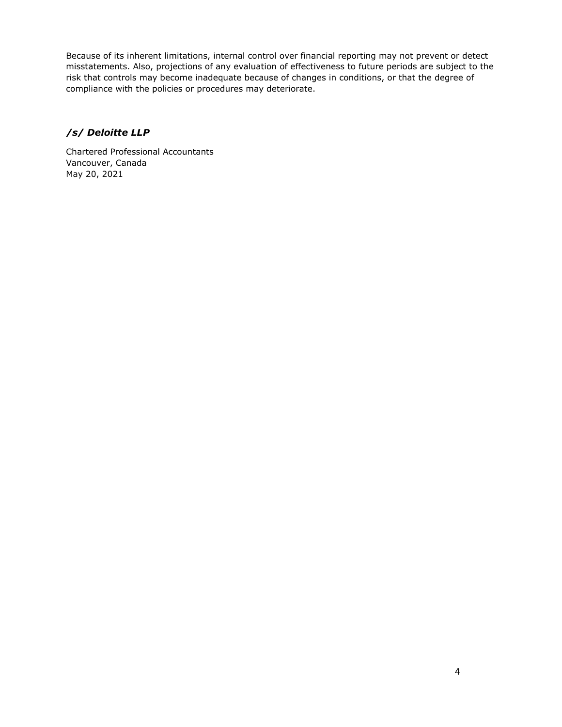Because of its inherent limitations, internal control over financial reporting may not prevent or detect misstatements. Also, projections of any evaluation of effectiveness to future periods are subject to the risk that controls may become inadequate because of changes in conditions, or that the degree of compliance with the policies or procedures may deteriorate.

### */s/ Deloitte LLP*

Chartered Professional Accountants Vancouver, Canada May 20, 2021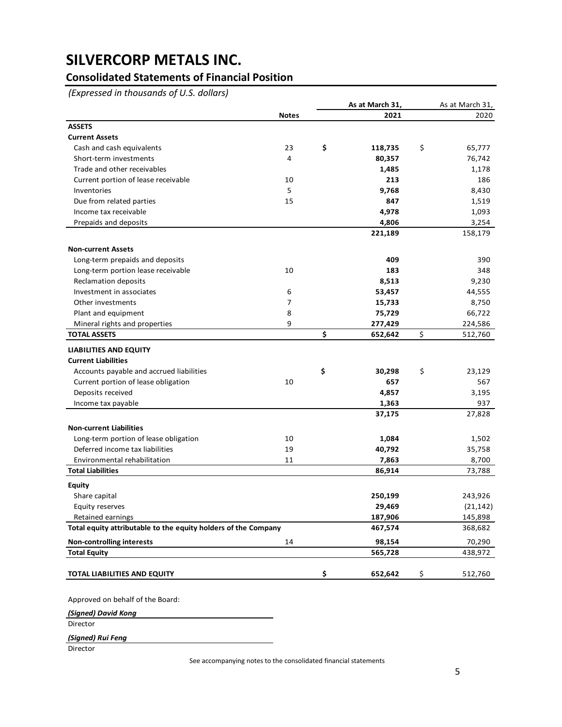### **Consolidated Statements of Financial Position**

*(Expressed in thousands of U.S. dollars)*

|                                                                |              | As at March 31, | As at March 31, |
|----------------------------------------------------------------|--------------|-----------------|-----------------|
|                                                                | <b>Notes</b> | 2021            | 2020            |
| <b>ASSETS</b>                                                  |              |                 |                 |
| <b>Current Assets</b>                                          |              |                 |                 |
| Cash and cash equivalents                                      | 23           | \$<br>118,735   | \$<br>65,777    |
| Short-term investments                                         | 4            | 80,357          | 76,742          |
| Trade and other receivables                                    |              | 1,485           | 1,178           |
| Current portion of lease receivable                            | 10           | 213             | 186             |
| Inventories                                                    | 5            | 9,768           | 8,430           |
| Due from related parties                                       | 15           | 847             | 1,519           |
| Income tax receivable                                          |              | 4,978           | 1,093           |
| Prepaids and deposits                                          |              | 4,806           | 3,254           |
|                                                                |              | 221,189         | 158,179         |
| <b>Non-current Assets</b>                                      |              |                 |                 |
| Long-term prepaids and deposits                                |              | 409             | 390             |
| Long-term portion lease receivable                             | 10           | 183             | 348             |
| Reclamation deposits                                           |              | 8,513           | 9,230           |
| Investment in associates                                       | 6            | 53,457          | 44,555          |
| Other investments                                              | 7            | 15,733          | 8,750           |
| Plant and equipment                                            | 8            | 75,729          | 66,722          |
| Mineral rights and properties                                  | 9            | 277,429         | 224,586         |
| <b>TOTAL ASSETS</b>                                            |              | \$<br>652,642   | \$<br>512,760   |
| <b>LIABILITIES AND EQUITY</b>                                  |              |                 |                 |
| <b>Current Liabilities</b>                                     |              |                 |                 |
| Accounts payable and accrued liabilities                       |              | \$<br>30,298    | \$<br>23,129    |
| Current portion of lease obligation                            | 10           | 657             | 567             |
| Deposits received                                              |              | 4,857           | 3,195           |
| Income tax payable                                             |              | 1,363           | 937             |
|                                                                |              | 37,175          | 27,828          |
| <b>Non-current Liabilities</b>                                 |              |                 |                 |
| Long-term portion of lease obligation                          | 10           | 1,084           | 1,502           |
| Deferred income tax liabilities                                | 19           | 40,792          | 35,758          |
| Environmental rehabilitation                                   | 11           | 7,863           | 8,700           |
| <b>Total Liabilities</b>                                       |              | 86,914          | 73,788          |
| Equity                                                         |              |                 |                 |
| Share capital                                                  |              | 250,199         | 243,926         |
| Equity reserves                                                |              | 29,469          | (21, 142)       |
| Retained earnings                                              |              | 187,906         | 145,898         |
| Total equity attributable to the equity holders of the Company |              | 467,574         | 368,682         |
| <b>Non-controlling interests</b>                               | 14           | 98,154          | 70,290          |
| <b>Total Equity</b>                                            |              | 565,728         | 438,972         |
|                                                                |              |                 |                 |
| TOTAL LIABILITIES AND EQUITY                                   |              | \$<br>652,642   | \$<br>512,760   |
|                                                                |              |                 |                 |
| Approved on behalf of the Board:                               |              |                 |                 |
| (Signed) David Kong                                            |              |                 |                 |

Director

*(Signed) Rui Feng*

**Director** 

See accompanying notes to the consolidated financial statements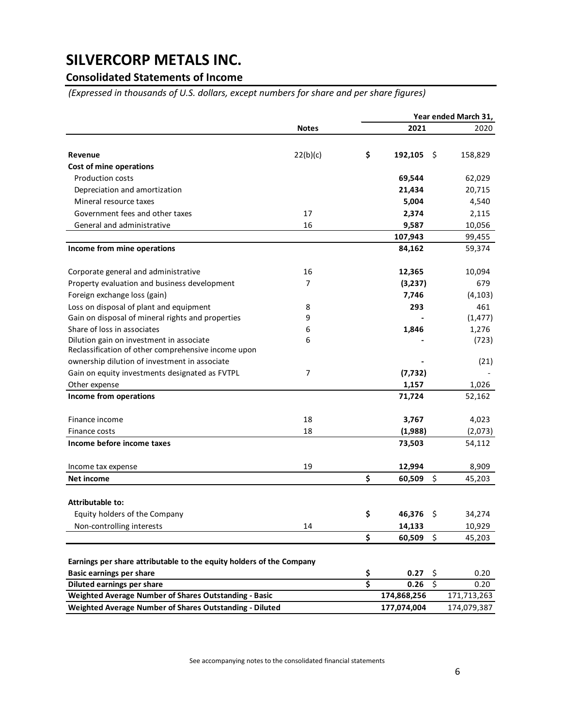### **Consolidated Statements of Income**

*(Expressed in thousands of U.S. dollars, except numbers for share and per share figures)*

|                                                                                                 |              |                                      |             |                  | Year ended March 31, |
|-------------------------------------------------------------------------------------------------|--------------|--------------------------------------|-------------|------------------|----------------------|
|                                                                                                 | <b>Notes</b> |                                      | 2021        |                  | 2020                 |
|                                                                                                 |              |                                      |             |                  |                      |
| Revenue                                                                                         | 22(b)(c)     | \$                                   | 192,105     | -S               | 158,829              |
| Cost of mine operations                                                                         |              |                                      |             |                  |                      |
| <b>Production costs</b>                                                                         |              |                                      | 69,544      |                  | 62,029               |
| Depreciation and amortization                                                                   |              |                                      | 21,434      |                  | 20,715               |
| Mineral resource taxes                                                                          |              |                                      | 5,004       |                  | 4,540                |
| Government fees and other taxes                                                                 | 17           |                                      | 2,374       |                  | 2,115                |
| General and administrative                                                                      | 16           |                                      | 9,587       |                  | 10,056               |
|                                                                                                 |              |                                      | 107,943     |                  | 99,455               |
| Income from mine operations                                                                     |              |                                      | 84,162      |                  | 59,374               |
| Corporate general and administrative                                                            | 16           |                                      | 12,365      |                  | 10,094               |
| Property evaluation and business development                                                    | 7            |                                      | (3,237)     |                  | 679                  |
| Foreign exchange loss (gain)                                                                    |              |                                      | 7,746       |                  | (4, 103)             |
| Loss on disposal of plant and equipment                                                         | 8            |                                      | 293         |                  | 461                  |
| Gain on disposal of mineral rights and properties                                               | 9            |                                      |             |                  | (1, 477)             |
| Share of loss in associates                                                                     | 6            |                                      | 1,846       |                  | 1,276                |
| Dilution gain on investment in associate<br>Reclassification of other comprehensive income upon | 6            |                                      |             |                  | (723)                |
| ownership dilution of investment in associate                                                   |              |                                      |             |                  | (21)                 |
| Gain on equity investments designated as FVTPL                                                  | 7            |                                      | (7, 732)    |                  |                      |
| Other expense                                                                                   |              |                                      | 1,157       |                  | 1,026                |
| Income from operations                                                                          |              |                                      | 71,724      |                  | 52,162               |
| Finance income                                                                                  | 18           |                                      | 3,767       |                  | 4,023                |
| Finance costs                                                                                   | 18           |                                      | (1,988)     |                  | (2,073)              |
| Income before income taxes                                                                      |              |                                      | 73,503      |                  | 54,112               |
| Income tax expense                                                                              | 19           |                                      | 12,994      |                  | 8,909                |
| Net income                                                                                      |              | \$                                   | 60,509      | \$               | 45,203               |
| Attributable to:                                                                                |              |                                      |             |                  |                      |
| Equity holders of the Company                                                                   |              | \$                                   | 46,376      | - \$             | 34,274               |
| Non-controlling interests                                                                       | 14           |                                      | 14,133      |                  | 10,929               |
|                                                                                                 |              | \$                                   | 60,509      | \$               | 45,203               |
| Earnings per share attributable to the equity holders of the Company                            |              |                                      |             |                  |                      |
| <b>Basic earnings per share</b>                                                                 |              | \$                                   | 0.27        | \$               | 0.20                 |
| <b>Diluted earnings per share</b>                                                               |              | $\overline{\boldsymbol{\mathsf{s}}}$ | 0.26        | $\overline{\xi}$ | 0.20                 |
| Weighted Average Number of Shares Outstanding - Basic                                           |              |                                      | 174,868,256 |                  | 171,713,263          |
| Weighted Average Number of Shares Outstanding - Diluted                                         |              |                                      | 177,074,004 |                  | 174,079,387          |

See accompanying notes to the consolidated financial statements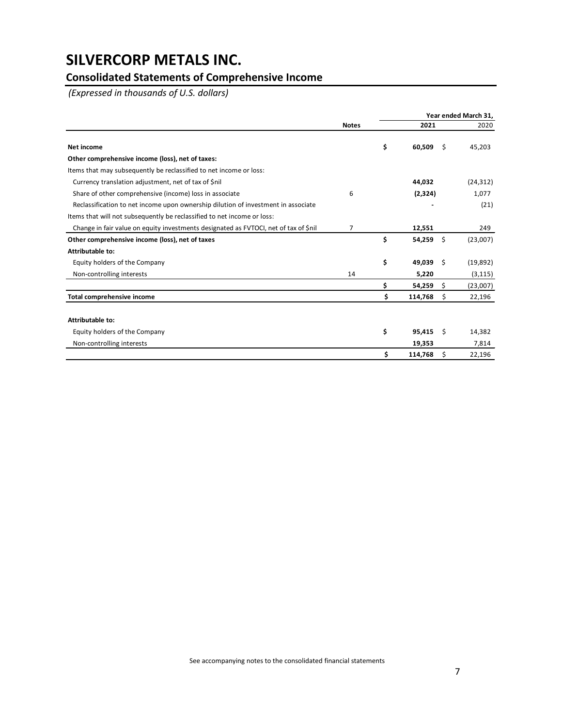## **Consolidated Statements of Comprehensive Income**

*(Expressed in thousands of U.S. dollars)*

|              |    |          |                  | Year ended March 31, |  |  |
|--------------|----|----------|------------------|----------------------|--|--|
| <b>Notes</b> |    | 2021     |                  | 2020                 |  |  |
|              | \$ | 60,509   | Ŝ.               | 45,203               |  |  |
|              |    |          |                  |                      |  |  |
|              |    |          |                  |                      |  |  |
|              |    | 44,032   |                  | (24, 312)            |  |  |
| 6            |    | (2, 324) |                  | 1,077                |  |  |
|              |    |          |                  | (21)                 |  |  |
|              |    |          |                  |                      |  |  |
| 7            |    | 12,551   |                  | 249                  |  |  |
|              | \$ | 54,259   |                  | (23,007)             |  |  |
|              |    |          |                  |                      |  |  |
|              | \$ | 49,039   | - Ś              | (19, 892)            |  |  |
| 14           |    | 5,220    |                  | (3, 115)             |  |  |
|              | \$ | 54,259   | S.               | (23,007)             |  |  |
|              | \$ | 114,768  | Ś.               | 22,196               |  |  |
|              |    |          |                  |                      |  |  |
|              |    |          |                  | 14,382               |  |  |
|              |    |          |                  | 7,814                |  |  |
|              | Ś  | 114,768  | Ś.               | 22,196               |  |  |
|              |    | \$       | 95,415<br>19,353 | - \$<br>- \$         |  |  |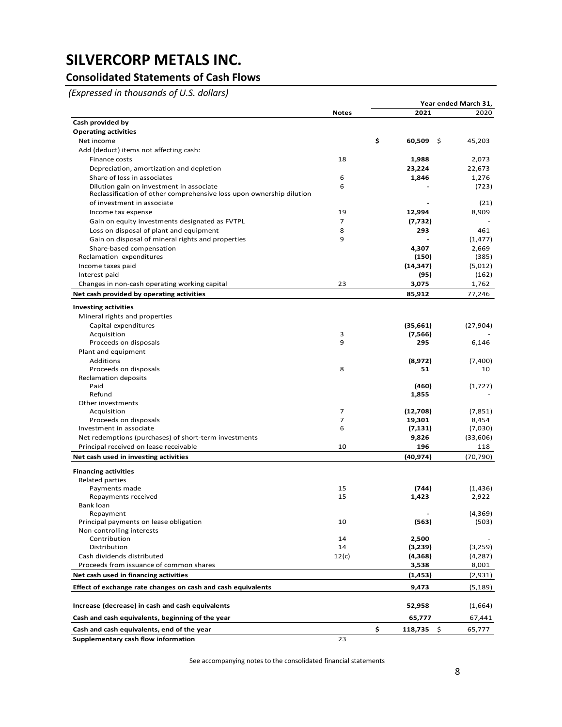### **Consolidated Statements of Cash Flows**

*(Expressed in thousands of U.S. dollars)*

|                                                                      |                |                      |     | Year ended March 31, |  |  |
|----------------------------------------------------------------------|----------------|----------------------|-----|----------------------|--|--|
|                                                                      | <b>Notes</b>   | 2021                 |     | 2020                 |  |  |
| Cash provided by                                                     |                |                      |     |                      |  |  |
| <b>Operating activities</b>                                          |                |                      |     |                      |  |  |
| Net income                                                           |                | \$<br>60,509         | -\$ | 45,203               |  |  |
| Add (deduct) items not affecting cash:                               |                |                      |     |                      |  |  |
| Finance costs                                                        | 18             | 1,988                |     | 2,073                |  |  |
| Depreciation, amortization and depletion                             |                | 23,224               |     | 22,673               |  |  |
| Share of loss in associates                                          | 6              | 1,846                |     | 1,276                |  |  |
| Dilution gain on investment in associate                             | 6              |                      |     | (723)                |  |  |
| Reclassification of other comprehensive loss upon ownership dilution |                |                      |     |                      |  |  |
| of investment in associate                                           |                |                      |     | (21)                 |  |  |
| Income tax expense                                                   | 19             | 12,994               |     | 8,909                |  |  |
| Gain on equity investments designated as FVTPL                       | $\overline{7}$ | (7, 732)             |     |                      |  |  |
| Loss on disposal of plant and equipment                              | 8              | 293                  |     | 461                  |  |  |
| Gain on disposal of mineral rights and properties                    | 9              |                      |     | (1, 477)             |  |  |
| Share-based compensation                                             |                | 4,307                |     | 2,669                |  |  |
| Reclamation expenditures                                             |                | (150)                |     | (385)                |  |  |
| Income taxes paid                                                    |                | (14, 347)            |     | (5,012)              |  |  |
| Interest paid                                                        |                | (95)                 |     | (162)                |  |  |
| Changes in non-cash operating working capital                        | 23             | 3,075                |     | 1,762                |  |  |
| Net cash provided by operating activities                            |                | 85,912               |     | 77,246               |  |  |
|                                                                      |                |                      |     |                      |  |  |
| <b>Investing activities</b><br>Mineral rights and properties         |                |                      |     |                      |  |  |
|                                                                      |                |                      |     |                      |  |  |
| Capital expenditures<br>Acquisition                                  | 3              | (35,661)<br>(7, 566) |     | (27, 904)            |  |  |
| Proceeds on disposals                                                | 9              | 295                  |     | 6,146                |  |  |
|                                                                      |                |                      |     |                      |  |  |
| Plant and equipment<br><b>Additions</b>                              |                | (8,972)              |     | (7,400)              |  |  |
| Proceeds on disposals                                                | 8              | 51                   |     | 10                   |  |  |
| <b>Reclamation deposits</b>                                          |                |                      |     |                      |  |  |
| Paid                                                                 |                | (460)                |     | (1,727)              |  |  |
| Refund                                                               |                | 1,855                |     |                      |  |  |
| Other investments                                                    |                |                      |     |                      |  |  |
| Acquisition                                                          | 7              | (12,708)             |     | (7, 851)             |  |  |
| Proceeds on disposals                                                | $\overline{7}$ | 19,301               |     | 8,454                |  |  |
| Investment in associate                                              | 6              | (7, 131)             |     | (7,030)              |  |  |
| Net redemptions (purchases) of short-term investments                |                | 9,826                |     | (33,606)             |  |  |
| Principal received on lease receivable                               | 10             | 196                  |     | 118                  |  |  |
| Net cash used in investing activities                                |                | (40,974)             |     | (70, 790)            |  |  |
|                                                                      |                |                      |     |                      |  |  |
| <b>Financing activities</b>                                          |                |                      |     |                      |  |  |
| Related parties                                                      |                |                      |     |                      |  |  |
| Payments made<br>Repayments received                                 | 15<br>15       | (744)                |     | (1,436)              |  |  |
| Bank loan                                                            |                | 1,423                |     | 2,922                |  |  |
| Repayment                                                            |                |                      |     | (4, 369)             |  |  |
| Principal payments on lease obligation                               | 10             | (563)                |     | (503)                |  |  |
| Non-controlling interests                                            |                |                      |     |                      |  |  |
| Contribution                                                         | 14             | 2,500                |     |                      |  |  |
| Distribution                                                         | 14             | (3,239)              |     | (3,259)              |  |  |
| Cash dividends distributed                                           | 12(c)          | (4,368)              |     | (4, 287)             |  |  |
| Proceeds from issuance of common shares                              |                | 3,538                |     | 8,001                |  |  |
| Net cash used in financing activities                                |                | (1, 453)             |     | (2,931)              |  |  |
|                                                                      |                |                      |     |                      |  |  |
| Effect of exchange rate changes on cash and cash equivalents         |                | 9,473                |     | (5, 189)             |  |  |
| Increase (decrease) in cash and cash equivalents                     |                | 52,958               |     | (1,664)              |  |  |
| Cash and cash equivalents, beginning of the year                     |                | 65,777               |     | 67,441               |  |  |
| Cash and cash equivalents, end of the year                           |                | \$<br>118,735        | \$  | 65,777               |  |  |
| Supplementary cash flow information                                  | 23             |                      |     |                      |  |  |
|                                                                      |                |                      |     |                      |  |  |

See accompanying notes to the consolidated financial statements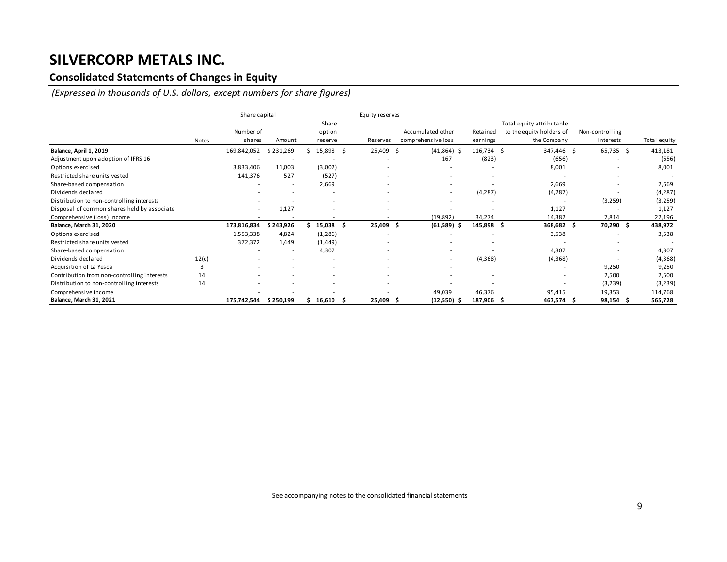### **Consolidated Statements of Changes in Equity**

*(Expressed in thousands of U.S. dollars, except numbers for share figures)*

|                                             |              | Share capital       |           |                            |    | Equity reserves |                                         |                          |                      |                                                                      |                              |              |
|---------------------------------------------|--------------|---------------------|-----------|----------------------------|----|-----------------|-----------------------------------------|--------------------------|----------------------|----------------------------------------------------------------------|------------------------------|--------------|
|                                             | Notes        | Number of<br>shares | Amount    | Share<br>option<br>reserve |    | Reserves        | Accumulated other<br>comprehensive loss |                          | Retained<br>earnings | Total equity attributable<br>to the equity holders of<br>the Company | Non-controlling<br>interests | Total equity |
| Balance, April 1, 2019                      |              | 169,842,052         | \$231,269 | 15,898 \$                  |    | 25,409          | $(41,864)$ \$<br>- Ś                    |                          | 116,734 \$           | 347,446 \$                                                           | $65,735$ \$                  | 413,181      |
| Adjustment upon adoption of IFRS 16         |              |                     |           |                            |    |                 | 167                                     |                          | (823)                | (656)                                                                | $\overline{\phantom{0}}$     | (656)        |
| Options exercised                           |              | 3,833,406           | 11,003    | (3,002)                    |    |                 |                                         |                          |                      | 8,001                                                                |                              | 8,001        |
| Restricted share units vested               |              | 141,376             | 527       | (527)                      |    |                 |                                         |                          |                      |                                                                      |                              |              |
| Share-based compensation                    |              |                     |           | 2,669                      |    |                 |                                         |                          |                      | 2,669                                                                |                              | 2,669        |
| Dividends declared                          |              |                     |           |                            |    |                 |                                         | $\sim$                   | (4, 287)             | (4, 287)                                                             |                              | (4, 287)     |
| Distribution to non-controlling interests   |              |                     |           |                            |    |                 |                                         |                          |                      |                                                                      | (3,259)                      | (3,259)      |
| Disposal of common shares held by associate |              | $\sim$              | 1,127     |                            |    |                 |                                         |                          |                      | 1,127                                                                | $\overline{\phantom{a}}$     | 1,127        |
| Comprehensive (loss) income                 |              |                     |           |                            |    |                 | (19, 892)                               |                          | 34,274               | 14,382                                                               | 7,814                        | 22,196       |
| Balance, March 31, 2020                     |              | 173,816,834         | \$243,926 | 15,038                     | -S | 25,409          | $(61,589)$ \$<br>-S                     |                          | 145,898 \$           | 368,682 \$                                                           | 70,290 \$                    | 438,972      |
| Options exercised                           |              | 1,553,338           | 4,824     | (1, 286)                   |    |                 |                                         |                          |                      | 3,538                                                                |                              | 3,538        |
| Restricted share units vested               |              | 372,372             | 1,449     | (1, 449)                   |    |                 |                                         |                          |                      |                                                                      |                              |              |
| Share-based compensation                    |              |                     |           | 4,307                      |    |                 |                                         |                          |                      | 4,307                                                                |                              | 4,307        |
| Dividends declared                          | 12(c)        |                     |           |                            |    |                 |                                         | $\sim$                   | (4,368)              | (4,368)                                                              |                              | (4,368)      |
| Acquisition of La Yesca                     | $\mathbf{a}$ |                     |           |                            |    |                 |                                         | $\overline{\phantom{a}}$ |                      |                                                                      | 9,250                        | 9,250        |
| Contribution from non-controlling interests | 14           |                     |           |                            |    |                 |                                         |                          |                      |                                                                      | 2,500                        | 2,500        |
| Distribution to non-controlling interests   | 14           |                     |           |                            |    |                 |                                         |                          |                      |                                                                      | (3, 239)                     | (3,239)      |
| Comprehensive income                        |              |                     |           |                            |    |                 | 49,039                                  |                          | 46,376               | 95,415                                                               | 19,353                       | 114,768      |
| Balance, March 31, 2021                     |              | 175,742,544         | \$250,199 | $16,610 \quad $$           |    | $25,409$ \$     | $(12,550)$ \$                           |                          | 187,906 \$           | 467,574                                                              | -S<br>$98,154$ \$            | 565,728      |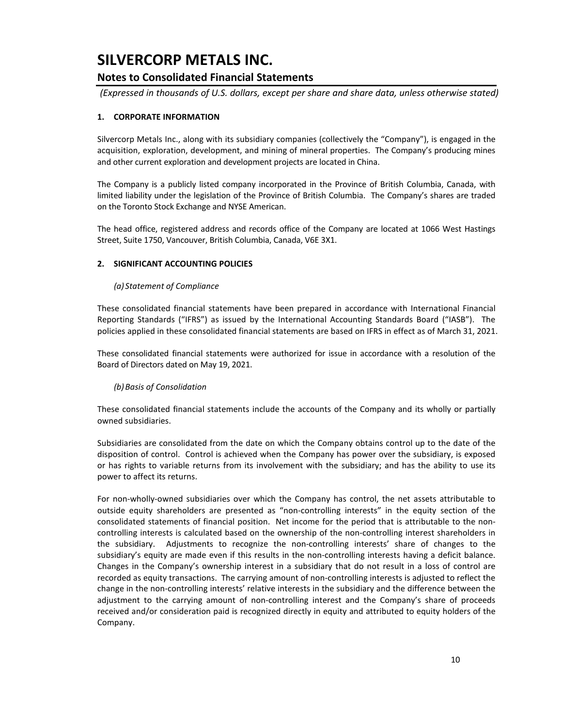### **Notes to Consolidated Financial Statements**

*(Expressed in thousands of U.S. dollars, except per share and share data, unless otherwise stated)*

#### **1. CORPORATE INFORMATION**

Silvercorp Metals Inc., along with its subsidiary companies (collectively the "Company"), is engaged in the acquisition, exploration, development, and mining of mineral properties. The Company's producing mines and other current exploration and development projects are located in China.

The Company is a publicly listed company incorporated in the Province of British Columbia, Canada, with limited liability under the legislation of the Province of British Columbia. The Company's shares are traded on the Toronto Stock Exchange and NYSE American.

The head office, registered address and records office of the Company are located at 1066 West Hastings Street, Suite 1750, Vancouver, British Columbia, Canada, V6E 3X1.

#### **2. SIGNIFICANT ACCOUNTING POLICIES**

#### *(a) Statement of Compliance*

These consolidated financial statements have been prepared in accordance with International Financial Reporting Standards ("IFRS") as issued by the International Accounting Standards Board ("IASB"). The policies applied in these consolidated financial statements are based on IFRS in effect as of March 31, 2021.

These consolidated financial statements were authorized for issue in accordance with a resolution of the Board of Directors dated on May 19, 2021.

#### *(b)Basis of Consolidation*

These consolidated financial statements include the accounts of the Company and its wholly or partially owned subsidiaries.

Subsidiaries are consolidated from the date on which the Company obtains control up to the date of the disposition of control. Control is achieved when the Company has power over the subsidiary, is exposed or has rights to variable returns from its involvement with the subsidiary; and has the ability to use its power to affect its returns.

For non-wholly-owned subsidiaries over which the Company has control, the net assets attributable to outside equity shareholders are presented as "non-controlling interests" in the equity section of the consolidated statements of financial position. Net income for the period that is attributable to the noncontrolling interests is calculated based on the ownership of the non-controlling interest shareholders in the subsidiary. Adjustments to recognize the non-controlling interests' share of changes to the subsidiary's equity are made even if this results in the non-controlling interests having a deficit balance. Changes in the Company's ownership interest in a subsidiary that do not result in a loss of control are recorded as equity transactions. The carrying amount of non-controlling interests is adjusted to reflect the change in the non-controlling interests' relative interests in the subsidiary and the difference between the adjustment to the carrying amount of non-controlling interest and the Company's share of proceeds received and/or consideration paid is recognized directly in equity and attributed to equity holders of the Company.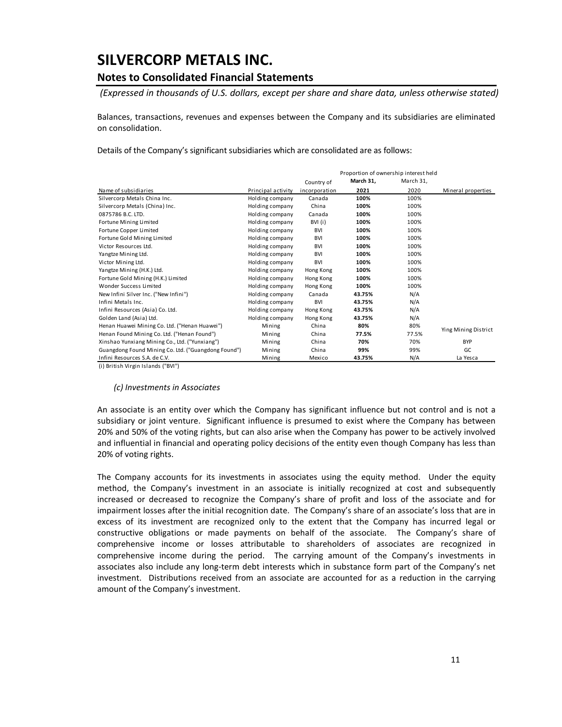*(Expressed in thousands of U.S. dollars, except per share and share data, unless otherwise stated)*

Balances, transactions, revenues and expenses between the Company and its subsidiaries are eliminated on consolidation.

Details of the Company's significant subsidiaries which are consolidated are as follows:

|                                                     | Proportion of ownership interest held |               |           |           |                      |
|-----------------------------------------------------|---------------------------------------|---------------|-----------|-----------|----------------------|
|                                                     |                                       | Country of    | March 31, | March 31, |                      |
| Name of subsidiaries                                | Principal activity                    | incorporation | 2021      | 2020      | Mineral properties   |
| Silvercorp Metals China Inc.                        | Holding company                       | Canada        | 100%      | 100%      |                      |
| Silvercorp Metals (China) Inc.                      | Holding company                       | China         | 100%      | 100%      |                      |
| 0875786 B.C. LTD.                                   | Holding company                       | Canada        | 100%      | 100%      |                      |
| Fortune Mining Limited                              | Holding company                       | BVI (i)       | 100%      | 100%      |                      |
| Fortune Copper Limited                              | Holding company                       | <b>BVI</b>    | 100%      | 100%      |                      |
| Fortune Gold Mining Limited                         | Holding company                       | <b>BVI</b>    | 100%      | 100%      |                      |
| Victor Resources Ltd.                               | Holding company                       | <b>BVI</b>    | 100%      | 100%      |                      |
| Yangtze Mining Ltd.                                 | Holding company                       | <b>BVI</b>    | 100%      | 100%      |                      |
| Victor Mining Ltd.                                  | Holding company                       | <b>BVI</b>    | 100%      | 100%      |                      |
| Yangtze Mining (H.K.) Ltd.                          | Holding company                       | Hong Kong     | 100%      | 100%      |                      |
| Fortune Gold Mining (H.K.) Limited                  | Holding company                       | Hong Kong     | 100%      | 100%      |                      |
| Wonder Success Limited                              | Holding company                       | Hong Kong     | 100%      | 100%      |                      |
| New Infini Silver Inc. ("New Infini")               | Holding company                       | Canada        | 43.75%    | N/A       |                      |
| Infini Metals Inc.                                  | Holding company                       | <b>BVI</b>    | 43.75%    | N/A       |                      |
| Infini Resources (Asia) Co. Ltd.                    | Holding company                       | Hong Kong     | 43.75%    | N/A       |                      |
| Golden Land (Asia) Ltd.                             | Holding company                       | Hong Kong     | 43.75%    | N/A       |                      |
| Henan Huawei Mining Co. Ltd. ("Henan Huawei")       | Mining                                | China         | 80%       | 80%       | Ying Mining District |
| Henan Found Mining Co. Ltd. ("Henan Found")         | Mining                                | China         | 77.5%     | 77.5%     |                      |
| Xinshao Yunxiang Mining Co., Ltd. ("Yunxiang")      | Mining                                | China         | 70%       | 70%       | <b>BYP</b>           |
| Guangdong Found Mining Co. Ltd. ("Guangdong Found") | Mining                                | China         | 99%       | 99%       | GC                   |
| Infini Resources S.A. de C.V.                       | Mining                                | Mexico        | 43.75%    | N/A       | La Yesca             |

(i) British Virgin Islands ("BVI")

#### *(c) Investments in Associates*

An associate is an entity over which the Company has significant influence but not control and is not a subsidiary or joint venture. Significant influence is presumed to exist where the Company has between 20% and 50% of the voting rights, but can also arise when the Company has power to be actively involved and influential in financial and operating policy decisions of the entity even though Company has less than 20% of voting rights.

The Company accounts for its investments in associates using the equity method. Under the equity method, the Company's investment in an associate is initially recognized at cost and subsequently increased or decreased to recognize the Company's share of profit and loss of the associate and for impairment losses after the initial recognition date. The Company's share of an associate's loss that are in excess of its investment are recognized only to the extent that the Company has incurred legal or constructive obligations or made payments on behalf of the associate. The Company's share of comprehensive income or losses attributable to shareholders of associates are recognized in comprehensive income during the period. The carrying amount of the Company's investments in associates also include any long-term debt interests which in substance form part of the Company's net investment. Distributions received from an associate are accounted for as a reduction in the carrying amount of the Company's investment.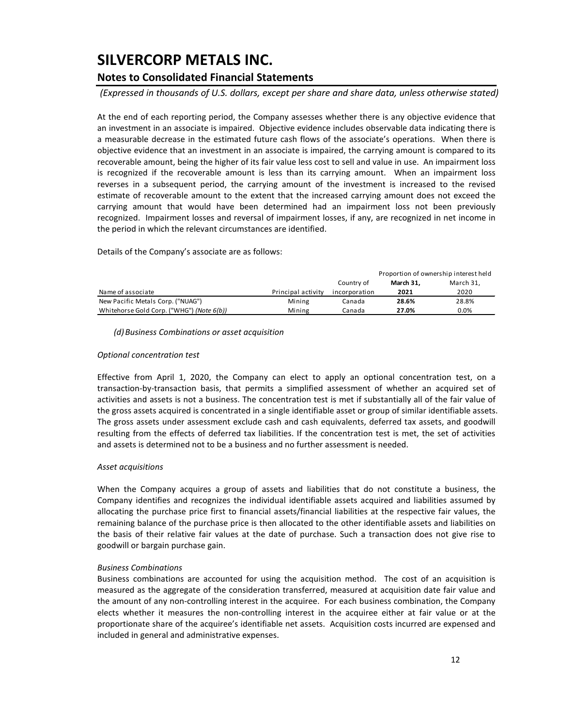*(Expressed in thousands of U.S. dollars, except per share and share data, unless otherwise stated)*

At the end of each reporting period, the Company assesses whether there is any objective evidence that an investment in an associate is impaired. Objective evidence includes observable data indicating there is a measurable decrease in the estimated future cash flows of the associate's operations. When there is objective evidence that an investment in an associate is impaired, the carrying amount is compared to its recoverable amount, being the higher of its fair value less cost to sell and value in use. An impairment loss is recognized if the recoverable amount is less than its carrying amount. When an impairment loss reverses in a subsequent period, the carrying amount of the investment is increased to the revised estimate of recoverable amount to the extent that the increased carrying amount does not exceed the carrying amount that would have been determined had an impairment loss not been previously recognized. Impairment losses and reversal of impairment losses, if any, are recognized in net income in the period in which the relevant circumstances are identified.

Details of the Company's associate are as follows:

|                                           |                    |               |           | Proportion of ownership interest held |
|-------------------------------------------|--------------------|---------------|-----------|---------------------------------------|
|                                           |                    | Country of    | March 31. | March 31,                             |
| Name of associate                         | Principal activity | incorporation | 2021      | 2020                                  |
| New Pacific Metals Corp. ("NUAG")         | Mining             | Canada        | 28.6%     | 28.8%                                 |
| Whitehorse Gold Corp. ("WHG") (Note 6(b)) | Mining             | Canada        | 27.0%     | 0.0%                                  |

*(d)Business Combinations or asset acquisition*

#### *Optional concentration test*

Effective from April 1, 2020, the Company can elect to apply an optional concentration test, on a transaction-by-transaction basis, that permits a simplified assessment of whether an acquired set of activities and assets is not a business. The concentration test is met if substantially all of the fair value of the gross assets acquired is concentrated in a single identifiable asset or group of similar identifiable assets. The gross assets under assessment exclude cash and cash equivalents, deferred tax assets, and goodwill resulting from the effects of deferred tax liabilities. If the concentration test is met, the set of activities and assets is determined not to be a business and no further assessment is needed.

#### *Asset acquisitions*

When the Company acquires a group of assets and liabilities that do not constitute a business, the Company identifies and recognizes the individual identifiable assets acquired and liabilities assumed by allocating the purchase price first to financial assets/financial liabilities at the respective fair values, the remaining balance of the purchase price is then allocated to the other identifiable assets and liabilities on the basis of their relative fair values at the date of purchase. Such a transaction does not give rise to goodwill or bargain purchase gain.

#### *Business Combinations*

Business combinations are accounted for using the acquisition method. The cost of an acquisition is measured as the aggregate of the consideration transferred, measured at acquisition date fair value and the amount of any non-controlling interest in the acquiree. For each business combination, the Company elects whether it measures the non-controlling interest in the acquiree either at fair value or at the proportionate share of the acquiree's identifiable net assets. Acquisition costs incurred are expensed and included in general and administrative expenses.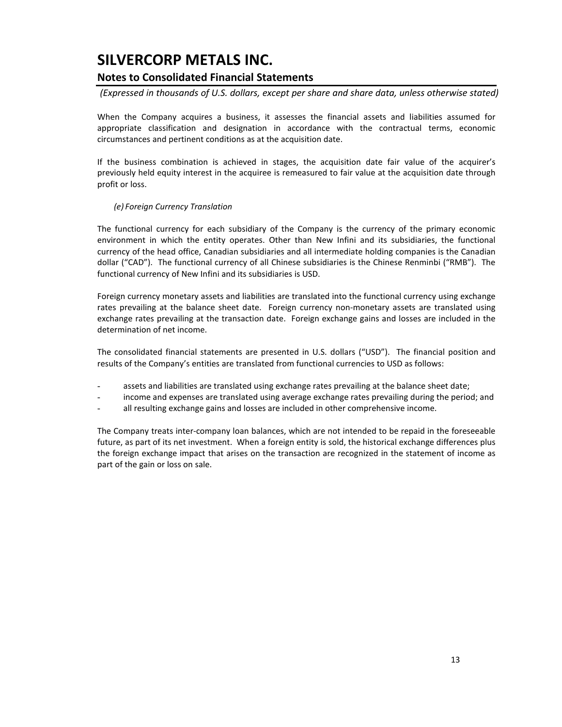### **Notes to Consolidated Financial Statements**

*(Expressed in thousands of U.S. dollars, except per share and share data, unless otherwise stated)*

When the Company acquires a business, it assesses the financial assets and liabilities assumed for appropriate classification and designation in accordance with the contractual terms, economic circumstances and pertinent conditions as at the acquisition date.

If the business combination is achieved in stages, the acquisition date fair value of the acquirer's previously held equity interest in the acquiree is remeasured to fair value at the acquisition date through profit or loss.

#### *(e) Foreign Currency Translation*

The functional currency for each subsidiary of the Company is the currency of the primary economic environment in which the entity operates. Other than New Infini and its subsidiaries, the functional currency of the head office, Canadian subsidiaries and all intermediate holding companies is the Canadian dollar ("CAD"). The functional currency of all Chinese subsidiaries is the Chinese Renminbi ("RMB"). The functional currency of New Infini and its subsidiaries is USD.

Foreign currency monetary assets and liabilities are translated into the functional currency using exchange rates prevailing at the balance sheet date. Foreign currency non-monetary assets are translated using exchange rates prevailing at the transaction date. Foreign exchange gains and losses are included in the determination of net income.

The consolidated financial statements are presented in U.S. dollars ("USD"). The financial position and results of the Company's entities are translated from functional currencies to USD as follows:

- assets and liabilities are translated using exchange rates prevailing at the balance sheet date;
- income and expenses are translated using average exchange rates prevailing during the period; and
- all resulting exchange gains and losses are included in other comprehensive income.

The Company treats inter-company loan balances, which are not intended to be repaid in the foreseeable future, as part of its net investment. When a foreign entity is sold, the historical exchange differences plus the foreign exchange impact that arises on the transaction are recognized in the statement of income as part of the gain or loss on sale.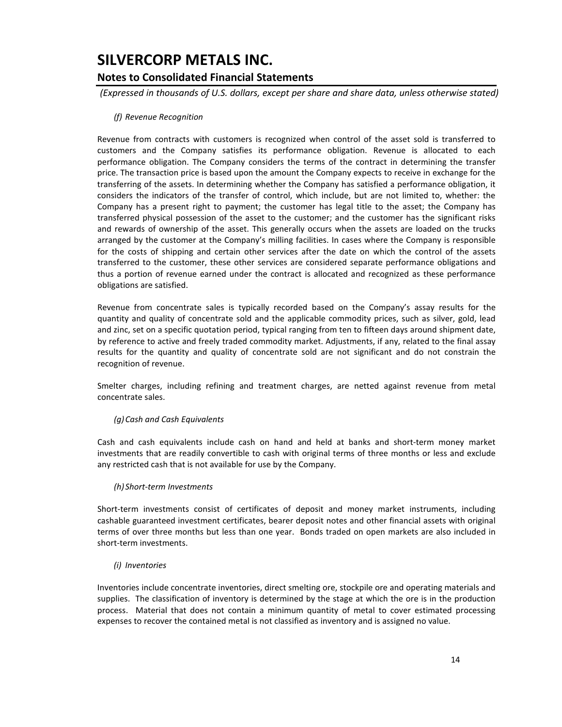*(Expressed in thousands of U.S. dollars, except per share and share data, unless otherwise stated)*

#### *(f) Revenue Recognition*

Revenue from contracts with customers is recognized when control of the asset sold is transferred to customers and the Company satisfies its performance obligation. Revenue is allocated to each performance obligation. The Company considers the terms of the contract in determining the transfer price. The transaction price is based upon the amount the Company expects to receive in exchange for the transferring of the assets. In determining whether the Company has satisfied a performance obligation, it considers the indicators of the transfer of control, which include, but are not limited to, whether: the Company has a present right to payment; the customer has legal title to the asset; the Company has transferred physical possession of the asset to the customer; and the customer has the significant risks and rewards of ownership of the asset. This generally occurs when the assets are loaded on the trucks arranged by the customer at the Company's milling facilities. In cases where the Company is responsible for the costs of shipping and certain other services after the date on which the control of the assets transferred to the customer, these other services are considered separate performance obligations and thus a portion of revenue earned under the contract is allocated and recognized as these performance obligations are satisfied.

Revenue from concentrate sales is typically recorded based on the Company's assay results for the quantity and quality of concentrate sold and the applicable commodity prices, such as silver, gold, lead and zinc, set on a specific quotation period, typical ranging from ten to fifteen days around shipment date, by reference to active and freely traded commodity market. Adjustments, if any, related to the final assay results for the quantity and quality of concentrate sold are not significant and do not constrain the recognition of revenue.

Smelter charges, including refining and treatment charges, are netted against revenue from metal concentrate sales.

#### *(g)Cash and Cash Equivalents*

Cash and cash equivalents include cash on hand and held at banks and short-term money market investments that are readily convertible to cash with original terms of three months or less and exclude any restricted cash that is not available for use by the Company.

#### *(h) Short-term Investments*

Short-term investments consist of certificates of deposit and money market instruments, including cashable guaranteed investment certificates, bearer deposit notes and other financial assets with original terms of over three months but less than one year. Bonds traded on open markets are also included in short-term investments.

#### *(i) Inventories*

Inventories include concentrate inventories, direct smelting ore, stockpile ore and operating materials and supplies. The classification of inventory is determined by the stage at which the ore is in the production process. Material that does not contain a minimum quantity of metal to cover estimated processing expenses to recover the contained metal is not classified as inventory and is assigned no value.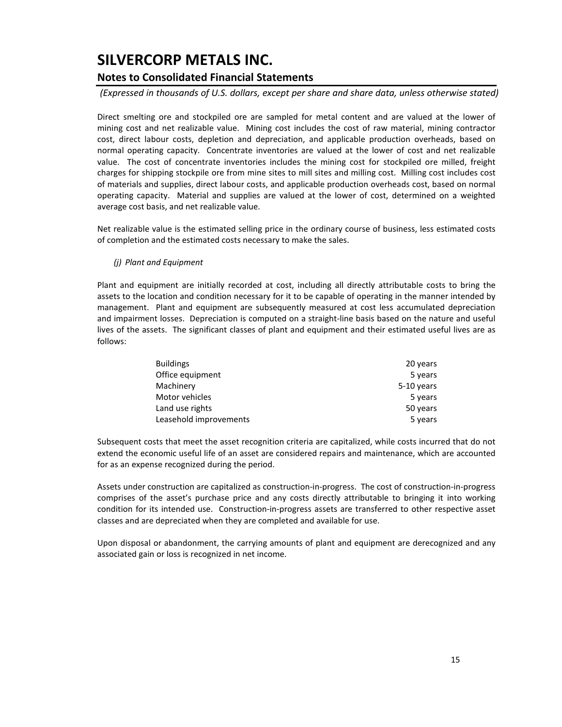### **Notes to Consolidated Financial Statements**

*(Expressed in thousands of U.S. dollars, except per share and share data, unless otherwise stated)*

Direct smelting ore and stockpiled ore are sampled for metal content and are valued at the lower of mining cost and net realizable value. Mining cost includes the cost of raw material, mining contractor cost, direct labour costs, depletion and depreciation, and applicable production overheads, based on normal operating capacity. Concentrate inventories are valued at the lower of cost and net realizable value. The cost of concentrate inventories includes the mining cost for stockpiled ore milled, freight charges for shipping stockpile ore from mine sites to mill sites and milling cost. Milling cost includes cost of materials and supplies, direct labour costs, and applicable production overheads cost, based on normal operating capacity. Material and supplies are valued at the lower of cost, determined on a weighted average cost basis, and net realizable value.

Net realizable value is the estimated selling price in the ordinary course of business, less estimated costs of completion and the estimated costs necessary to make the sales.

*(j) Plant and Equipment* 

Plant and equipment are initially recorded at cost, including all directly attributable costs to bring the assets to the location and condition necessary for it to be capable of operating in the manner intended by management. Plant and equipment are subsequently measured at cost less accumulated depreciation and impairment losses. Depreciation is computed on a straight-line basis based on the nature and useful lives of the assets. The significant classes of plant and equipment and their estimated useful lives are as follows:

| 20 years   |
|------------|
| 5 years    |
| 5-10 years |
| 5 years    |
| 50 years   |
| 5 years    |
|            |

Subsequent costs that meet the asset recognition criteria are capitalized, while costs incurred that do not extend the economic useful life of an asset are considered repairs and maintenance, which are accounted for as an expense recognized during the period.

Assets under construction are capitalized as construction-in-progress. The cost of construction-in-progress comprises of the asset's purchase price and any costs directly attributable to bringing it into working condition for its intended use. Construction-in-progress assets are transferred to other respective asset classes and are depreciated when they are completed and available for use.

Upon disposal or abandonment, the carrying amounts of plant and equipment are derecognized and any associated gain or loss is recognized in net income.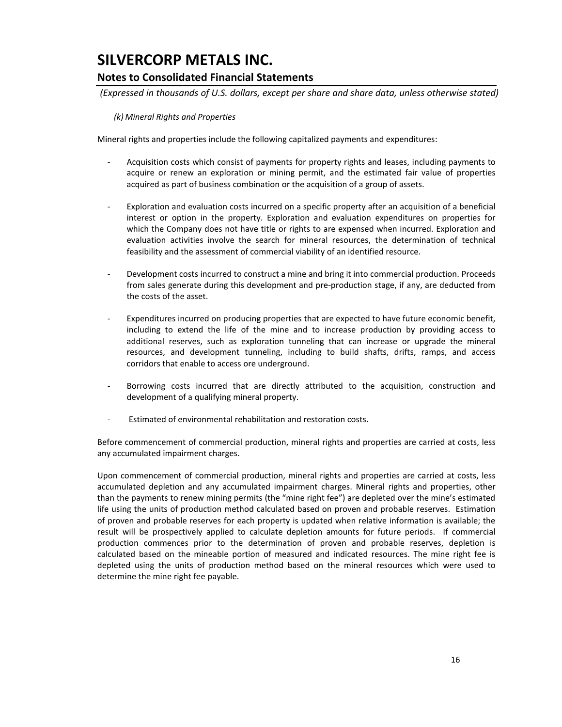*(Expressed in thousands of U.S. dollars, except per share and share data, unless otherwise stated)*

*(k) Mineral Rights and Properties*

Mineral rights and properties include the following capitalized payments and expenditures:

- Acquisition costs which consist of payments for property rights and leases, including payments to acquire or renew an exploration or mining permit, and the estimated fair value of properties acquired as part of business combination or the acquisition of a group of assets.
- Exploration and evaluation costs incurred on a specific property after an acquisition of a beneficial interest or option in the property. Exploration and evaluation expenditures on properties for which the Company does not have title or rights to are expensed when incurred. Exploration and evaluation activities involve the search for mineral resources, the determination of technical feasibility and the assessment of commercial viability of an identified resource.
- Development costs incurred to construct a mine and bring it into commercial production. Proceeds from sales generate during this development and pre-production stage, if any, are deducted from the costs of the asset.
- Expenditures incurred on producing properties that are expected to have future economic benefit, including to extend the life of the mine and to increase production by providing access to additional reserves, such as exploration tunneling that can increase or upgrade the mineral resources, and development tunneling, including to build shafts, drifts, ramps, and access corridors that enable to access ore underground.
- Borrowing costs incurred that are directly attributed to the acquisition, construction and development of a qualifying mineral property.
- Estimated of environmental rehabilitation and restoration costs.

Before commencement of commercial production, mineral rights and properties are carried at costs, less any accumulated impairment charges.

Upon commencement of commercial production, mineral rights and properties are carried at costs, less accumulated depletion and any accumulated impairment charges. Mineral rights and properties, other than the payments to renew mining permits (the "mine right fee") are depleted over the mine's estimated life using the units of production method calculated based on proven and probable reserves. Estimation of proven and probable reserves for each property is updated when relative information is available; the result will be prospectively applied to calculate depletion amounts for future periods. If commercial production commences prior to the determination of proven and probable reserves, depletion is calculated based on the mineable portion of measured and indicated resources. The mine right fee is depleted using the units of production method based on the mineral resources which were used to determine the mine right fee payable.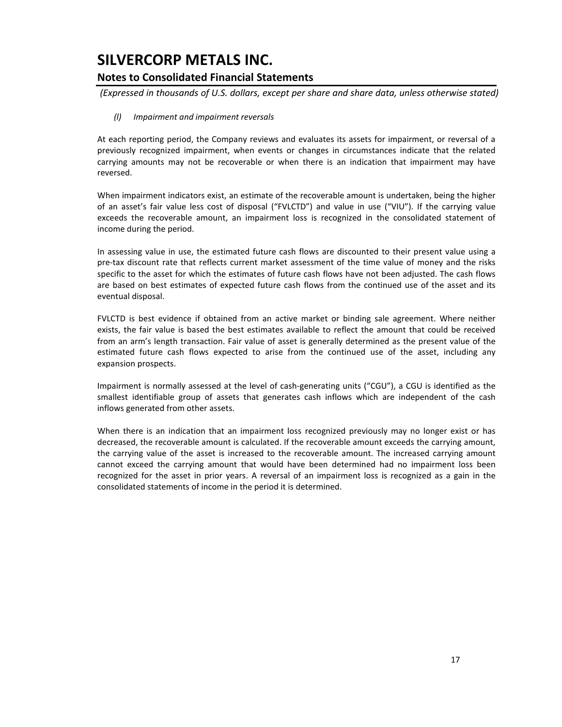*(Expressed in thousands of U.S. dollars, except per share and share data, unless otherwise stated)*

#### *(l) Impairment and impairment reversals*

At each reporting period, the Company reviews and evaluates its assets for impairment, or reversal of a previously recognized impairment, when events or changes in circumstances indicate that the related carrying amounts may not be recoverable or when there is an indication that impairment may have reversed.

When impairment indicators exist, an estimate of the recoverable amount is undertaken, being the higher of an asset's fair value less cost of disposal ("FVLCTD") and value in use ("VIU"). If the carrying value exceeds the recoverable amount, an impairment loss is recognized in the consolidated statement of income during the period.

In assessing value in use, the estimated future cash flows are discounted to their present value using a pre-tax discount rate that reflects current market assessment of the time value of money and the risks specific to the asset for which the estimates of future cash flows have not been adjusted. The cash flows are based on best estimates of expected future cash flows from the continued use of the asset and its eventual disposal.

FVLCTD is best evidence if obtained from an active market or binding sale agreement. Where neither exists, the fair value is based the best estimates available to reflect the amount that could be received from an arm's length transaction. Fair value of asset is generally determined as the present value of the estimated future cash flows expected to arise from the continued use of the asset, including any expansion prospects.

Impairment is normally assessed at the level of cash-generating units ("CGU"), a CGU is identified as the smallest identifiable group of assets that generates cash inflows which are independent of the cash inflows generated from other assets.

When there is an indication that an impairment loss recognized previously may no longer exist or has decreased, the recoverable amount is calculated. If the recoverable amount exceeds the carrying amount, the carrying value of the asset is increased to the recoverable amount. The increased carrying amount cannot exceed the carrying amount that would have been determined had no impairment loss been recognized for the asset in prior years. A reversal of an impairment loss is recognized as a gain in the consolidated statements of income in the period it is determined.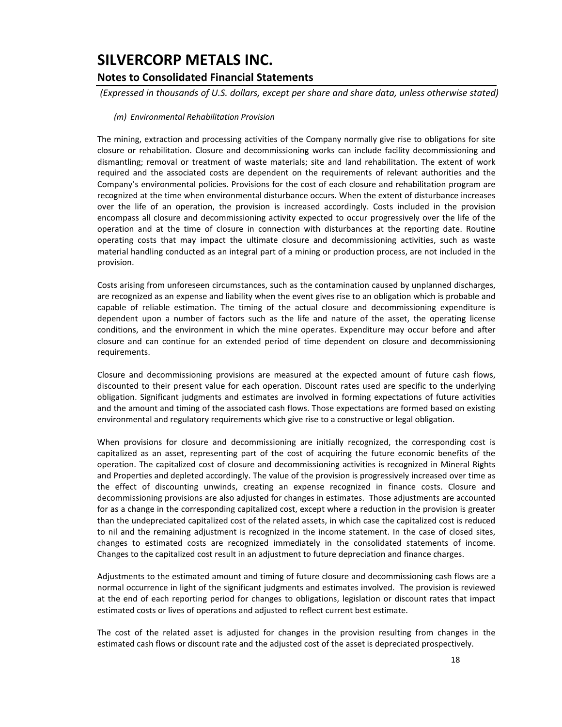*(Expressed in thousands of U.S. dollars, except per share and share data, unless otherwise stated)*

#### *(m) Environmental Rehabilitation Provision*

The mining, extraction and processing activities of the Company normally give rise to obligations for site closure or rehabilitation. Closure and decommissioning works can include facility decommissioning and dismantling; removal or treatment of waste materials; site and land rehabilitation. The extent of work required and the associated costs are dependent on the requirements of relevant authorities and the Company's environmental policies. Provisions for the cost of each closure and rehabilitation program are recognized at the time when environmental disturbance occurs. When the extent of disturbance increases over the life of an operation, the provision is increased accordingly. Costs included in the provision encompass all closure and decommissioning activity expected to occur progressively over the life of the operation and at the time of closure in connection with disturbances at the reporting date. Routine operating costs that may impact the ultimate closure and decommissioning activities, such as waste material handling conducted as an integral part of a mining or production process, are not included in the provision.

Costs arising from unforeseen circumstances, such as the contamination caused by unplanned discharges, are recognized as an expense and liability when the event gives rise to an obligation which is probable and capable of reliable estimation. The timing of the actual closure and decommissioning expenditure is dependent upon a number of factors such as the life and nature of the asset, the operating license conditions, and the environment in which the mine operates. Expenditure may occur before and after closure and can continue for an extended period of time dependent on closure and decommissioning requirements.

Closure and decommissioning provisions are measured at the expected amount of future cash flows, discounted to their present value for each operation. Discount rates used are specific to the underlying obligation. Significant judgments and estimates are involved in forming expectations of future activities and the amount and timing of the associated cash flows. Those expectations are formed based on existing environmental and regulatory requirements which give rise to a constructive or legal obligation.

When provisions for closure and decommissioning are initially recognized, the corresponding cost is capitalized as an asset, representing part of the cost of acquiring the future economic benefits of the operation. The capitalized cost of closure and decommissioning activities is recognized in Mineral Rights and Properties and depleted accordingly. The value of the provision is progressively increased over time as the effect of discounting unwinds, creating an expense recognized in finance costs. Closure and decommissioning provisions are also adjusted for changes in estimates. Those adjustments are accounted for as a change in the corresponding capitalized cost, except where a reduction in the provision is greater than the undepreciated capitalized cost of the related assets, in which case the capitalized cost is reduced to nil and the remaining adjustment is recognized in the income statement. In the case of closed sites, changes to estimated costs are recognized immediately in the consolidated statements of income. Changes to the capitalized cost result in an adjustment to future depreciation and finance charges.

Adjustments to the estimated amount and timing of future closure and decommissioning cash flows are a normal occurrence in light of the significant judgments and estimates involved. The provision is reviewed at the end of each reporting period for changes to obligations, legislation or discount rates that impact estimated costs or lives of operations and adjusted to reflect current best estimate.

The cost of the related asset is adjusted for changes in the provision resulting from changes in the estimated cash flows or discount rate and the adjusted cost of the asset is depreciated prospectively.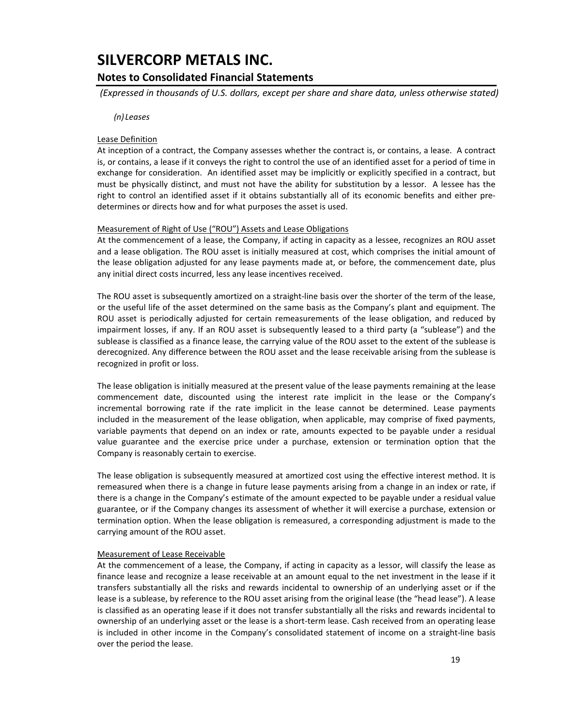*(Expressed in thousands of U.S. dollars, except per share and share data, unless otherwise stated)*

*(n) Leases*

#### Lease Definition

At inception of a contract, the Company assesses whether the contract is, or contains, a lease. A contract is, or contains, a lease if it conveys the right to control the use of an identified asset for a period of time in exchange for consideration. An identified asset may be implicitly or explicitly specified in a contract, but must be physically distinct, and must not have the ability for substitution by a lessor. A lessee has the right to control an identified asset if it obtains substantially all of its economic benefits and either predetermines or directs how and for what purposes the asset is used.

#### Measurement of Right of Use ("ROU") Assets and Lease Obligations

At the commencement of a lease, the Company, if acting in capacity as a lessee, recognizes an ROU asset and a lease obligation. The ROU asset is initially measured at cost, which comprises the initial amount of the lease obligation adjusted for any lease payments made at, or before, the commencement date, plus any initial direct costs incurred, less any lease incentives received.

The ROU asset is subsequently amortized on a straight-line basis over the shorter of the term of the lease, or the useful life of the asset determined on the same basis as the Company's plant and equipment. The ROU asset is periodically adjusted for certain remeasurements of the lease obligation, and reduced by impairment losses, if any. If an ROU asset is subsequently leased to a third party (a "sublease") and the sublease is classified as a finance lease, the carrying value of the ROU asset to the extent of the sublease is derecognized. Any difference between the ROU asset and the lease receivable arising from the sublease is recognized in profit or loss.

The lease obligation is initially measured at the present value of the lease payments remaining at the lease commencement date, discounted using the interest rate implicit in the lease or the Company's incremental borrowing rate if the rate implicit in the lease cannot be determined. Lease payments included in the measurement of the lease obligation, when applicable, may comprise of fixed payments, variable payments that depend on an index or rate, amounts expected to be payable under a residual value guarantee and the exercise price under a purchase, extension or termination option that the Company is reasonably certain to exercise.

The lease obligation is subsequently measured at amortized cost using the effective interest method. It is remeasured when there is a change in future lease payments arising from a change in an index or rate, if there is a change in the Company's estimate of the amount expected to be payable under a residual value guarantee, or if the Company changes its assessment of whether it will exercise a purchase, extension or termination option. When the lease obligation is remeasured, a corresponding adjustment is made to the carrying amount of the ROU asset.

#### Measurement of Lease Receivable

At the commencement of a lease, the Company, if acting in capacity as a lessor, will classify the lease as finance lease and recognize a lease receivable at an amount equal to the net investment in the lease if it transfers substantially all the risks and rewards incidental to ownership of an underlying asset or if the lease is a sublease, by reference to the ROU asset arising from the original lease (the "head lease"). A lease is classified as an operating lease if it does not transfer substantially all the risks and rewards incidental to ownership of an underlying asset or the lease is a short-term lease. Cash received from an operating lease is included in other income in the Company's consolidated statement of income on a straight-line basis over the period the lease.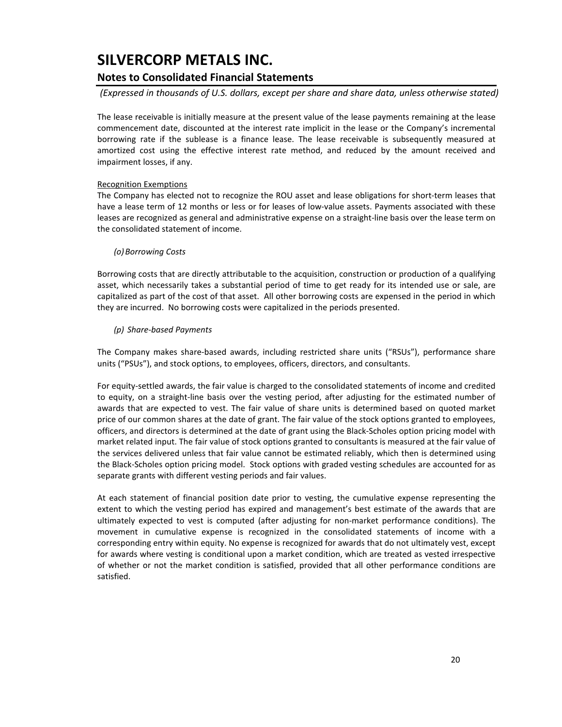### **Notes to Consolidated Financial Statements**

*(Expressed in thousands of U.S. dollars, except per share and share data, unless otherwise stated)*

The lease receivable is initially measure at the present value of the lease payments remaining at the lease commencement date, discounted at the interest rate implicit in the lease or the Company's incremental borrowing rate if the sublease is a finance lease. The lease receivable is subsequently measured at amortized cost using the effective interest rate method, and reduced by the amount received and impairment losses, if any.

#### Recognition Exemptions

The Company has elected not to recognize the ROU asset and lease obligations for short-term leases that have a lease term of 12 months or less or for leases of low-value assets. Payments associated with these leases are recognized as general and administrative expense on a straight-line basis over the lease term on the consolidated statement of income.

#### *(o)Borrowing Costs*

Borrowing costs that are directly attributable to the acquisition, construction or production of a qualifying asset, which necessarily takes a substantial period of time to get ready for its intended use or sale, are capitalized as part of the cost of that asset. All other borrowing costs are expensed in the period in which they are incurred. No borrowing costs were capitalized in the periods presented.

#### *(p) Share-based Payments*

The Company makes share-based awards, including restricted share units ("RSUs"), performance share units ("PSUs"), and stock options, to employees, officers, directors, and consultants.

For equity-settled awards, the fair value is charged to the consolidated statements of income and credited to equity, on a straight-line basis over the vesting period, after adjusting for the estimated number of awards that are expected to vest. The fair value of share units is determined based on quoted market price of our common shares at the date of grant. The fair value of the stock options granted to employees, officers, and directors is determined at the date of grant using the Black-Scholes option pricing model with market related input. The fair value of stock options granted to consultants is measured at the fair value of the services delivered unless that fair value cannot be estimated reliably, which then is determined using the Black-Scholes option pricing model. Stock options with graded vesting schedules are accounted for as separate grants with different vesting periods and fair values.

At each statement of financial position date prior to vesting, the cumulative expense representing the extent to which the vesting period has expired and management's best estimate of the awards that are ultimately expected to vest is computed (after adjusting for non-market performance conditions). The movement in cumulative expense is recognized in the consolidated statements of income with a corresponding entry within equity. No expense is recognized for awards that do not ultimately vest, except for awards where vesting is conditional upon a market condition, which are treated as vested irrespective of whether or not the market condition is satisfied, provided that all other performance conditions are satisfied.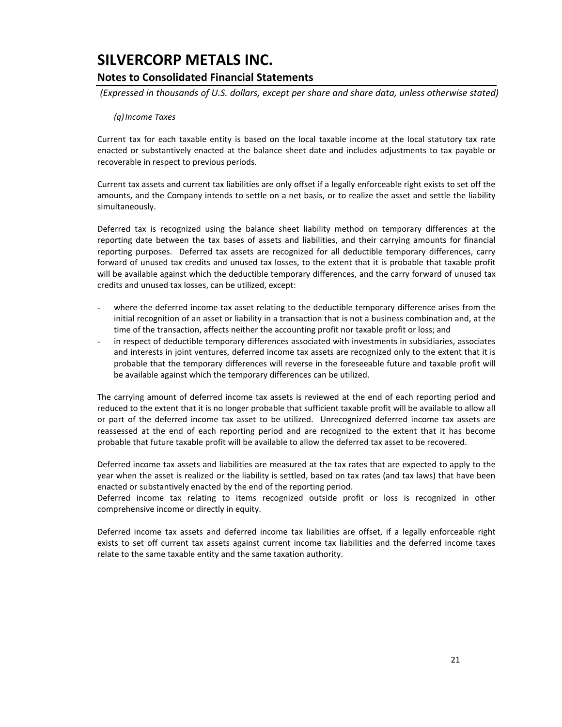*(Expressed in thousands of U.S. dollars, except per share and share data, unless otherwise stated)*

#### *(q)Income Taxes*

Current tax for each taxable entity is based on the local taxable income at the local statutory tax rate enacted or substantively enacted at the balance sheet date and includes adjustments to tax payable or recoverable in respect to previous periods.

Current tax assets and current tax liabilities are only offset if a legally enforceable right exists to set off the amounts, and the Company intends to settle on a net basis, or to realize the asset and settle the liability simultaneously.

Deferred tax is recognized using the balance sheet liability method on temporary differences at the reporting date between the tax bases of assets and liabilities, and their carrying amounts for financial reporting purposes. Deferred tax assets are recognized for all deductible temporary differences, carry forward of unused tax credits and unused tax losses, to the extent that it is probable that taxable profit will be available against which the deductible temporary differences, and the carry forward of unused tax credits and unused tax losses, can be utilized, except:

- where the deferred income tax asset relating to the deductible temporary difference arises from the initial recognition of an asset or liability in a transaction that is not a business combination and, at the time of the transaction, affects neither the accounting profit nor taxable profit or loss; and
- in respect of deductible temporary differences associated with investments in subsidiaries, associates and interests in joint ventures, deferred income tax assets are recognized only to the extent that it is probable that the temporary differences will reverse in the foreseeable future and taxable profit will be available against which the temporary differences can be utilized.

The carrying amount of deferred income tax assets is reviewed at the end of each reporting period and reduced to the extent that it is no longer probable that sufficient taxable profit will be available to allow all or part of the deferred income tax asset to be utilized. Unrecognized deferred income tax assets are reassessed at the end of each reporting period and are recognized to the extent that it has become probable that future taxable profit will be available to allow the deferred tax asset to be recovered.

Deferred income tax assets and liabilities are measured at the tax rates that are expected to apply to the year when the asset is realized or the liability is settled, based on tax rates (and tax laws) that have been enacted or substantively enacted by the end of the reporting period.

Deferred income tax relating to items recognized outside profit or loss is recognized in other comprehensive income or directly in equity.

Deferred income tax assets and deferred income tax liabilities are offset, if a legally enforceable right exists to set off current tax assets against current income tax liabilities and the deferred income taxes relate to the same taxable entity and the same taxation authority.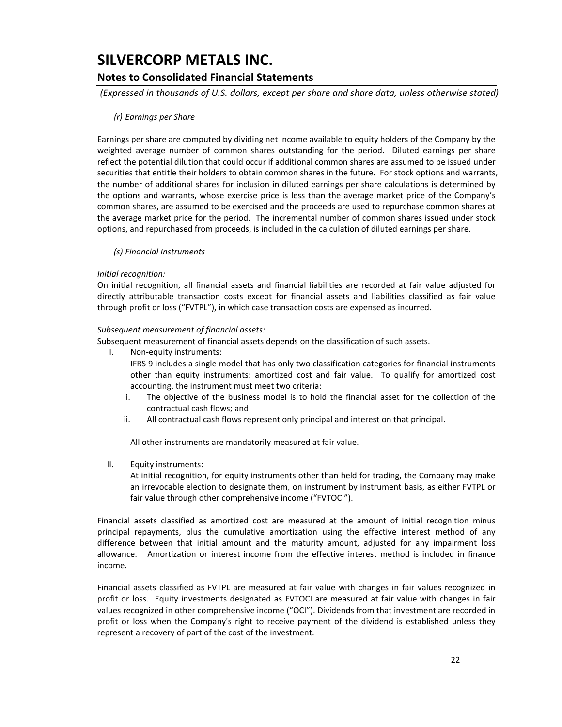*(Expressed in thousands of U.S. dollars, except per share and share data, unless otherwise stated)*

#### *(r) Earnings per Share*

Earnings per share are computed by dividing net income available to equity holders of the Company by the weighted average number of common shares outstanding for the period. Diluted earnings per share reflect the potential dilution that could occur if additional common shares are assumed to be issued under securities that entitle their holders to obtain common shares in the future. For stock options and warrants, the number of additional shares for inclusion in diluted earnings per share calculations is determined by the options and warrants, whose exercise price is less than the average market price of the Company's common shares, are assumed to be exercised and the proceeds are used to repurchase common shares at the average market price for the period. The incremental number of common shares issued under stock options, and repurchased from proceeds, is included in the calculation of diluted earnings per share.

#### *(s) Financial Instruments*

#### *Initial recognition:*

On initial recognition, all financial assets and financial liabilities are recorded at fair value adjusted for directly attributable transaction costs except for financial assets and liabilities classified as fair value through profit or loss ("FVTPL"), in which case transaction costs are expensed as incurred.

#### *Subsequent measurement of financial assets:*

Subsequent measurement of financial assets depends on the classification of such assets.

I. Non-equity instruments:

IFRS 9 includes a single model that has only two classification categories for financial instruments other than equity instruments: amortized cost and fair value. To qualify for amortized cost accounting, the instrument must meet two criteria:

- i. The objective of the business model is to hold the financial asset for the collection of the contractual cash flows; and
- ii. All contractual cash flows represent only principal and interest on that principal.

All other instruments are mandatorily measured at fair value.

II. Equity instruments:

At initial recognition, for equity instruments other than held for trading, the Company may make an irrevocable election to designate them, on instrument by instrument basis, as either FVTPL or fair value through other comprehensive income ("FVTOCI").

Financial assets classified as amortized cost are measured at the amount of initial recognition minus principal repayments, plus the cumulative amortization using the effective interest method of any difference between that initial amount and the maturity amount, adjusted for any impairment loss allowance. Amortization or interest income from the effective interest method is included in finance income.

Financial assets classified as FVTPL are measured at fair value with changes in fair values recognized in profit or loss. Equity investments designated as FVTOCI are measured at fair value with changes in fair values recognized in other comprehensive income ("OCI"). Dividends from that investment are recorded in profit or loss when the Company's right to receive payment of the dividend is established unless they represent a recovery of part of the cost of the investment.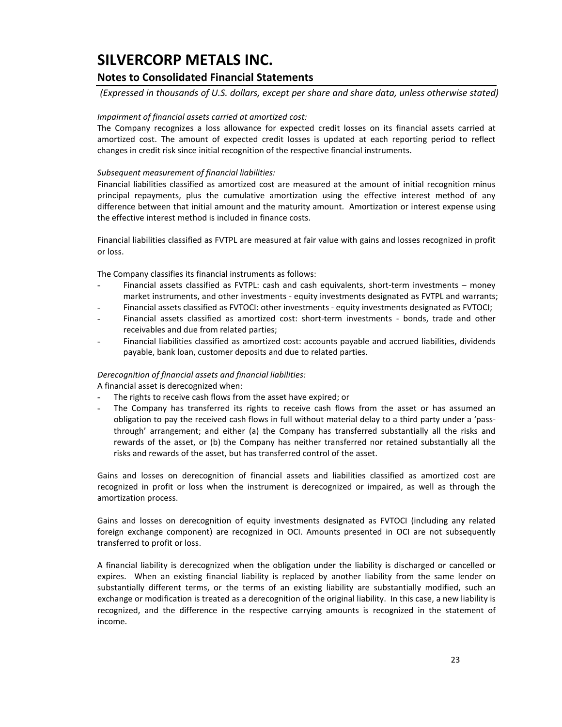### **Notes to Consolidated Financial Statements**

*(Expressed in thousands of U.S. dollars, except per share and share data, unless otherwise stated)*

#### *Impairment of financial assets carried at amortized cost:*

The Company recognizes a loss allowance for expected credit losses on its financial assets carried at amortized cost. The amount of expected credit losses is updated at each reporting period to reflect changes in credit risk since initial recognition of the respective financial instruments.

#### *Subsequent measurement of financial liabilities:*

Financial liabilities classified as amortized cost are measured at the amount of initial recognition minus principal repayments, plus the cumulative amortization using the effective interest method of any difference between that initial amount and the maturity amount. Amortization or interest expense using the effective interest method is included in finance costs.

Financial liabilities classified as FVTPL are measured at fair value with gains and losses recognized in profit or loss.

The Company classifies its financial instruments as follows:

- Financial assets classified as FVTPL: cash and cash equivalents, short-term investments money market instruments, and other investments - equity investments designated as FVTPL and warrants;
- Financial assets classified as FVTOCI: other investments equity investments designated as FVTOCI;
- Financial assets classified as amortized cost: short-term investments bonds, trade and other receivables and due from related parties;
- Financial liabilities classified as amortized cost: accounts payable and accrued liabilities, dividends payable, bank loan, customer deposits and due to related parties.

#### *Derecognition of financial assets and financial liabilities:*

A financial asset is derecognized when:

- The rights to receive cash flows from the asset have expired; or
- The Company has transferred its rights to receive cash flows from the asset or has assumed an obligation to pay the received cash flows in full without material delay to a third party under a 'passthrough' arrangement; and either (a) the Company has transferred substantially all the risks and rewards of the asset, or (b) the Company has neither transferred nor retained substantially all the risks and rewards of the asset, but has transferred control of the asset.

Gains and losses on derecognition of financial assets and liabilities classified as amortized cost are recognized in profit or loss when the instrument is derecognized or impaired, as well as through the amortization process.

Gains and losses on derecognition of equity investments designated as FVTOCI (including any related foreign exchange component) are recognized in OCI. Amounts presented in OCI are not subsequently transferred to profit or loss.

A financial liability is derecognized when the obligation under the liability is discharged or cancelled or expires. When an existing financial liability is replaced by another liability from the same lender on substantially different terms, or the terms of an existing liability are substantially modified, such an exchange or modification is treated as a derecognition of the original liability. In this case, a new liability is recognized, and the difference in the respective carrying amounts is recognized in the statement of income.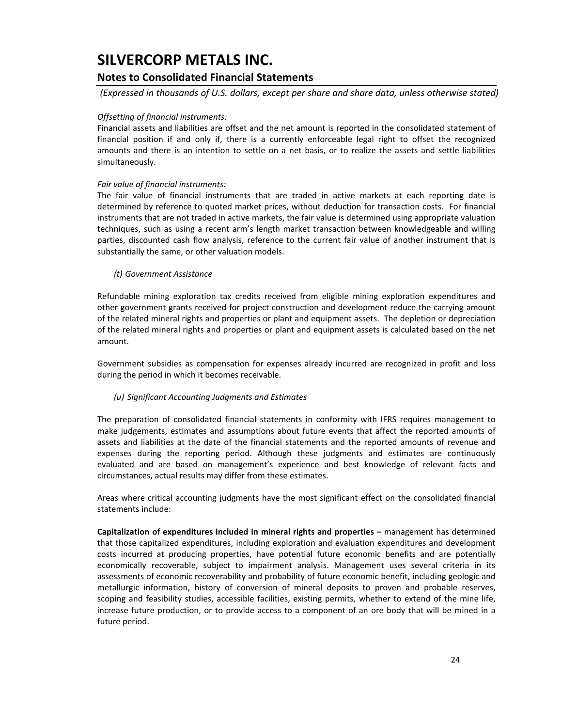### **Notes to Consolidated Financial Statements**

*(Expressed in thousands of U.S. dollars, except per share and share data, unless otherwise stated)*

#### *Offsetting of financial instruments:*

Financial assets and liabilities are offset and the net amount is reported in the consolidated statement of financial position if and only if, there is a currently enforceable legal right to offset the recognized amounts and there is an intention to settle on a net basis, or to realize the assets and settle liabilities simultaneously.

#### *Fair value of financial instruments:*

The fair value of financial instruments that are traded in active markets at each reporting date is determined by reference to quoted market prices, without deduction for transaction costs. For financial instruments that are not traded in active markets, the fair value is determined using appropriate valuation techniques, such as using a recent arm's length market transaction between knowledgeable and willing parties, discounted cash flow analysis, reference to the current fair value of another instrument that is substantially the same, or other valuation models.

#### *(t) Government Assistance*

Refundable mining exploration tax credits received from eligible mining exploration expenditures and other government grants received for project construction and development reduce the carrying amount of the related mineral rights and properties or plant and equipment assets. The depletion or depreciation of the related mineral rights and properties or plant and equipment assets is calculated based on the net amount.

Government subsidies as compensation for expenses already incurred are recognized in profit and loss during the period in which it becomes receivable.

#### *(u) Significant Accounting Judgments and Estimates*

The preparation of consolidated financial statements in conformity with IFRS requires management to make judgements, estimates and assumptions about future events that affect the reported amounts of assets and liabilities at the date of the financial statements and the reported amounts of revenue and expenses during the reporting period. Although these judgments and estimates are continuously evaluated and are based on management's experience and best knowledge of relevant facts and circumstances, actual results may differ from these estimates.

Areas where critical accounting judgments have the most significant effect on the consolidated financial statements include:

**Capitalization of expenditures included in mineral rights and properties –** management has determined that those capitalized expenditures, including exploration and evaluation expenditures and development costs incurred at producing properties, have potential future economic benefits and are potentially economically recoverable, subject to impairment analysis. Management uses several criteria in its assessments of economic recoverability and probability of future economic benefit, including geologic and metallurgic information, history of conversion of mineral deposits to proven and probable reserves, scoping and feasibility studies, accessible facilities, existing permits, whether to extend of the mine life, increase future production, or to provide access to a component of an ore body that will be mined in a future period.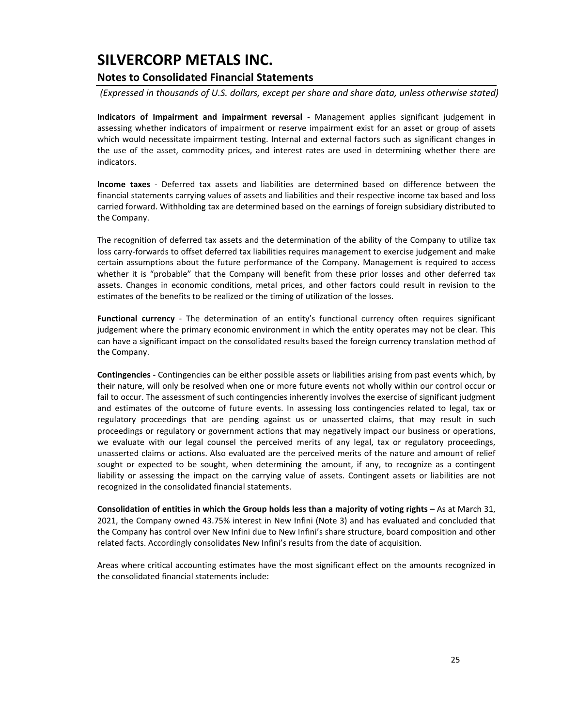### **Notes to Consolidated Financial Statements**

*(Expressed in thousands of U.S. dollars, except per share and share data, unless otherwise stated)*

**Indicators of Impairment and impairment reversal** - Management applies significant judgement in assessing whether indicators of impairment or reserve impairment exist for an asset or group of assets which would necessitate impairment testing. Internal and external factors such as significant changes in the use of the asset, commodity prices, and interest rates are used in determining whether there are indicators.

**Income taxes** - Deferred tax assets and liabilities are determined based on difference between the financial statements carrying values of assets and liabilities and their respective income tax based and loss carried forward. Withholding tax are determined based on the earnings of foreign subsidiary distributed to the Company.

The recognition of deferred tax assets and the determination of the ability of the Company to utilize tax loss carry-forwards to offset deferred tax liabilities requires management to exercise judgement and make certain assumptions about the future performance of the Company. Management is required to access whether it is "probable" that the Company will benefit from these prior losses and other deferred tax assets. Changes in economic conditions, metal prices, and other factors could result in revision to the estimates of the benefits to be realized or the timing of utilization of the losses.

**Functional currency** - The determination of an entity's functional currency often requires significant judgement where the primary economic environment in which the entity operates may not be clear. This can have a significant impact on the consolidated results based the foreign currency translation method of the Company.

**Contingencies** - Contingencies can be either possible assets or liabilities arising from past events which, by their nature, will only be resolved when one or more future events not wholly within our control occur or fail to occur. The assessment of such contingencies inherently involves the exercise of significant judgment and estimates of the outcome of future events. In assessing loss contingencies related to legal, tax or regulatory proceedings that are pending against us or unasserted claims, that may result in such proceedings or regulatory or government actions that may negatively impact our business or operations, we evaluate with our legal counsel the perceived merits of any legal, tax or regulatory proceedings, unasserted claims or actions. Also evaluated are the perceived merits of the nature and amount of relief sought or expected to be sought, when determining the amount, if any, to recognize as a contingent liability or assessing the impact on the carrying value of assets. Contingent assets or liabilities are not recognized in the consolidated financial statements.

**Consolidation of entities in which the Group holds less than a majority of voting rights –** As at March 31, 2021, the Company owned 43.75% interest in New Infini (Note 3) and has evaluated and concluded that the Company has control over New Infini due to New Infini's share structure, board composition and other related facts. Accordingly consolidates New Infini's results from the date of acquisition.

Areas where critical accounting estimates have the most significant effect on the amounts recognized in the consolidated financial statements include: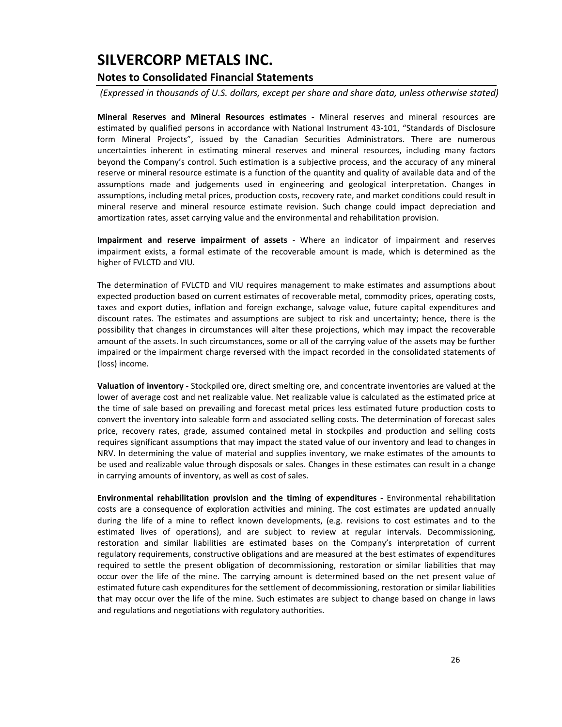*(Expressed in thousands of U.S. dollars, except per share and share data, unless otherwise stated)*

**Mineral Reserves and Mineral Resources estimates -** Mineral reserves and mineral resources are estimated by qualified persons in accordance with National Instrument 43-101, "Standards of Disclosure form Mineral Projects", issued by the Canadian Securities Administrators. There are numerous uncertainties inherent in estimating mineral reserves and mineral resources, including many factors beyond the Company's control. Such estimation is a subjective process, and the accuracy of any mineral reserve or mineral resource estimate is a function of the quantity and quality of available data and of the assumptions made and judgements used in engineering and geological interpretation. Changes in assumptions, including metal prices, production costs, recovery rate, and market conditions could result in mineral reserve and mineral resource estimate revision. Such change could impact depreciation and amortization rates, asset carrying value and the environmental and rehabilitation provision.

**Impairment and reserve impairment of assets** *-* Where an indicator of impairment and reserves impairment exists, a formal estimate of the recoverable amount is made, which is determined as the higher of FVLCTD and VIU.

The determination of FVLCTD and VIU requires management to make estimates and assumptions about expected production based on current estimates of recoverable metal, commodity prices, operating costs, taxes and export duties, inflation and foreign exchange, salvage value, future capital expenditures and discount rates. The estimates and assumptions are subject to risk and uncertainty; hence, there is the possibility that changes in circumstances will alter these projections, which may impact the recoverable amount of the assets. In such circumstances, some or all of the carrying value of the assets may be further impaired or the impairment charge reversed with the impact recorded in the consolidated statements of (loss) income.

**Valuation of inventory** - Stockpiled ore, direct smelting ore, and concentrate inventories are valued at the lower of average cost and net realizable value. Net realizable value is calculated as the estimated price at the time of sale based on prevailing and forecast metal prices less estimated future production costs to convert the inventory into saleable form and associated selling costs. The determination of forecast sales price, recovery rates, grade, assumed contained metal in stockpiles and production and selling costs requires significant assumptions that may impact the stated value of our inventory and lead to changes in NRV. In determining the value of material and supplies inventory, we make estimates of the amounts to be used and realizable value through disposals or sales. Changes in these estimates can result in a change in carrying amounts of inventory, as well as cost of sales.

**Environmental rehabilitation provision and the timing of expenditures** - Environmental rehabilitation costs are a consequence of exploration activities and mining. The cost estimates are updated annually during the life of a mine to reflect known developments, (e.g. revisions to cost estimates and to the estimated lives of operations), and are subject to review at regular intervals. Decommissioning, restoration and similar liabilities are estimated bases on the Company's interpretation of current regulatory requirements, constructive obligations and are measured at the best estimates of expenditures required to settle the present obligation of decommissioning, restoration or similar liabilities that may occur over the life of the mine. The carrying amount is determined based on the net present value of estimated future cash expenditures for the settlement of decommissioning, restoration or similar liabilities that may occur over the life of the mine. Such estimates are subject to change based on change in laws and regulations and negotiations with regulatory authorities.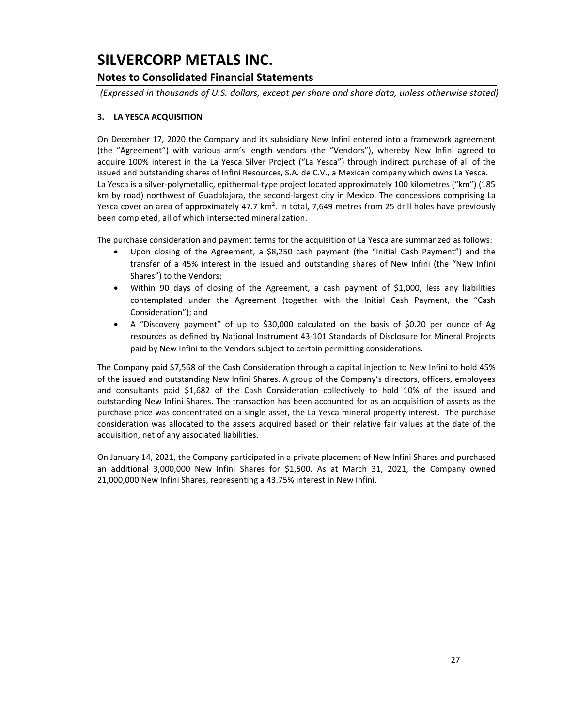*(Expressed in thousands of U.S. dollars, except per share and share data, unless otherwise stated)*

#### **3. LA YESCA ACQUISITION**

On December 17, 2020 the Company and its subsidiary New Infini entered into a framework agreement (the "Agreement") with various arm's length vendors (the "Vendors"), whereby New Infini agreed to acquire 100% interest in the La Yesca Silver Project ("La Yesca") through indirect purchase of all of the issued and outstanding shares of Infini Resources, S.A. de C.V., a Mexican company which owns La Yesca. La Yesca is a silver-polymetallic, epithermal-type project located approximately 100 kilometres ("km") (185 km by road) northwest of Guadalajara, the second-largest city in Mexico. The concessions comprising La Yesca cover an area of approximately 47.7 km<sup>2</sup>. In total, 7,649 metres from 25 drill holes have previously been completed, all of which intersected mineralization.

The purchase consideration and payment terms for the acquisition of La Yesca are summarized as follows:

- Upon closing of the Agreement, a \$8,250 cash payment (the "Initial Cash Payment") and the transfer of a 45% interest in the issued and outstanding shares of New Infini (the "New Infini Shares") to the Vendors;
- Within 90 days of closing of the Agreement, a cash payment of \$1,000, less any liabilities contemplated under the Agreement (together with the Initial Cash Payment, the "Cash Consideration"); and
- A "Discovery payment" of up to \$30,000 calculated on the basis of \$0.20 per ounce of Ag resources as defined by National Instrument 43-101 Standards of Disclosure for Mineral Projects paid by New Infini to the Vendors subject to certain permitting considerations.

The Company paid \$7,568 of the Cash Consideration through a capital injection to New Infini to hold 45% of the issued and outstanding New Infini Shares. A group of the Company's directors, officers, employees and consultants paid \$1,682 of the Cash Consideration collectively to hold 10% of the issued and outstanding New Infini Shares. The transaction has been accounted for as an acquisition of assets as the purchase price was concentrated on a single asset, the La Yesca mineral property interest. The purchase consideration was allocated to the assets acquired based on their relative fair values at the date of the acquisition, net of any associated liabilities.

On January 14, 2021, the Company participated in a private placement of New Infini Shares and purchased an additional 3,000,000 New Infini Shares for \$1,500. As at March 31, 2021, the Company owned 21,000,000 New Infini Shares, representing a 43.75% interest in New Infini.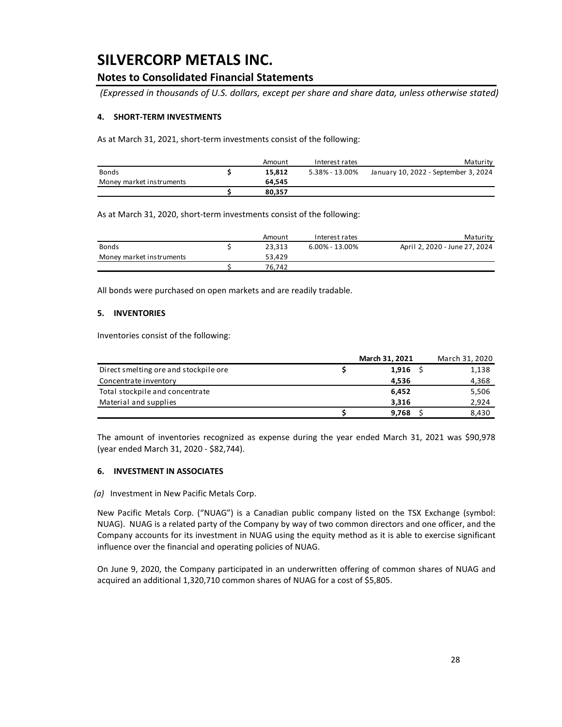### **Notes to Consolidated Financial Statements**

*(Expressed in thousands of U.S. dollars, except per share and share data, unless otherwise stated)*

#### **4. SHORT-TERM INVESTMENTS**

As at March 31, 2021, short-term investments consist of the following:

|                          | Amount | Interest rates | Maturity                             |
|--------------------------|--------|----------------|--------------------------------------|
| <b>Bonds</b>             | 15.812 | 5.38% - 13.00% | January 10, 2022 - September 3, 2024 |
| Money market instruments | 64.545 |                |                                      |
|                          | 80.357 |                |                                      |

As at March 31, 2020, short-term investments consist of the following:

|                          | Amount | Interest rates | Maturity                      |
|--------------------------|--------|----------------|-------------------------------|
| <b>Bonds</b>             | 23.313 | 6.00% - 13.00% | April 2, 2020 - June 27, 2024 |
| Money market instruments | 53.429 |                |                               |
|                          | 76.742 |                |                               |

All bonds were purchased on open markets and are readily tradable.

#### **5. INVENTORIES**

Inventories consist of the following:

|                                       | March 31, 2021 | March 31, 2020 |
|---------------------------------------|----------------|----------------|
| Direct smelting ore and stockpile ore | 1.916          | 1,138          |
| Concentrate inventory                 | 4.536          | 4,368          |
| Total stockpile and concentrate       | 6.452          | 5,506          |
| Material and supplies                 | 3.316          | 2,924          |
|                                       | 9.768          | 8,430          |

The amount of inventories recognized as expense during the year ended March 31, 2021 was \$90,978 (year ended March 31, 2020 - \$82,744).

#### **6. INVESTMENT IN ASSOCIATES**

*(a)* Investment in New Pacific Metals Corp.

New Pacific Metals Corp. ("NUAG") is a Canadian public company listed on the TSX Exchange (symbol: NUAG). NUAG is a related party of the Company by way of two common directors and one officer, and the Company accounts for its investment in NUAG using the equity method as it is able to exercise significant influence over the financial and operating policies of NUAG.

On June 9, 2020, the Company participated in an underwritten offering of common shares of NUAG and acquired an additional 1,320,710 common shares of NUAG for a cost of \$5,805.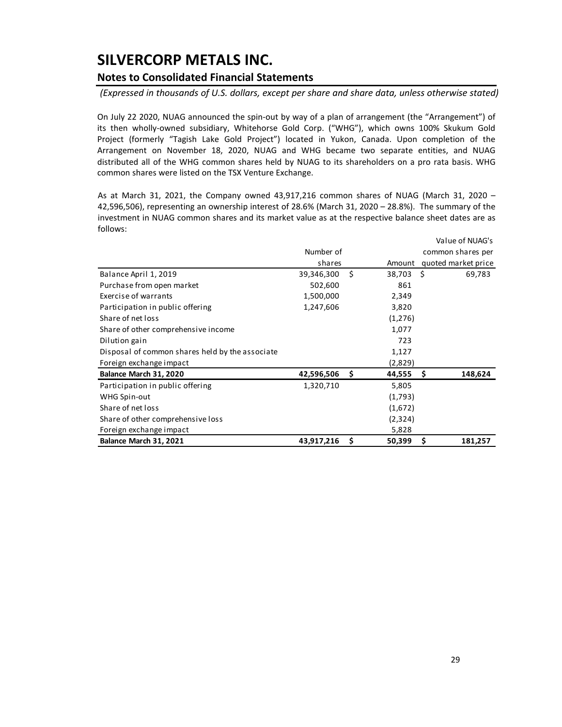### **Notes to Consolidated Financial Statements**

*(Expressed in thousands of U.S. dollars, except per share and share data, unless otherwise stated)*

On July 22 2020, NUAG announced the spin-out by way of a plan of arrangement (the "Arrangement") of its then wholly-owned subsidiary, Whitehorse Gold Corp. ("WHG"), which owns 100% Skukum Gold Project (formerly "Tagish Lake Gold Project") located in Yukon, Canada. Upon completion of the Arrangement on November 18, 2020, NUAG and WHG became two separate entities, and NUAG distributed all of the WHG common shares held by NUAG to its shareholders on a pro rata basis. WHG common shares were listed on the TSX Venture Exchange.

As at March 31, 2021, the Company owned 43,917,216 common shares of NUAG (March 31, 2020 – 42,596,506), representing an ownership interest of 28.6% (March 31, 2020 – 28.8%). The summary of the investment in NUAG common shares and its market value as at the respective balance sheet dates are as follows:

|                                                 |            |    |           | Value of NUAG's     |
|-------------------------------------------------|------------|----|-----------|---------------------|
|                                                 | Number of  |    |           | common shares per   |
|                                                 | shares     |    | Amount    | quoted market price |
| Balance April 1, 2019                           | 39,346,300 | Ŝ. | 38,703 \$ | 69,783              |
| Purchase from open market                       | 502,600    |    | 861       |                     |
| Exercise of warrants                            | 1,500,000  |    | 2,349     |                     |
| Participation in public offering                | 1,247,606  |    | 3,820     |                     |
| Share of net loss                               |            |    | (1,276)   |                     |
| Share of other comprehensive income             |            |    | 1,077     |                     |
| Dilution gain                                   |            |    | 723       |                     |
| Disposal of common shares held by the associate |            |    | 1,127     |                     |
| Foreign exchange impact                         |            |    | (2,829)   |                     |
| Balance March 31, 2020                          | 42,596,506 | \$ | 44,555    | Ś<br>148,624        |
| Participation in public offering                | 1,320,710  |    | 5,805     |                     |
| WHG Spin-out                                    |            |    | (1,793)   |                     |
| Share of net loss                               |            |    | (1,672)   |                     |
| Share of other comprehensive loss               |            |    | (2,324)   |                     |
| Foreign exchange impact                         |            |    | 5,828     |                     |
| Balance March 31, 2021                          | 43,917,216 | \$ | 50,399    | Ś<br>181,257        |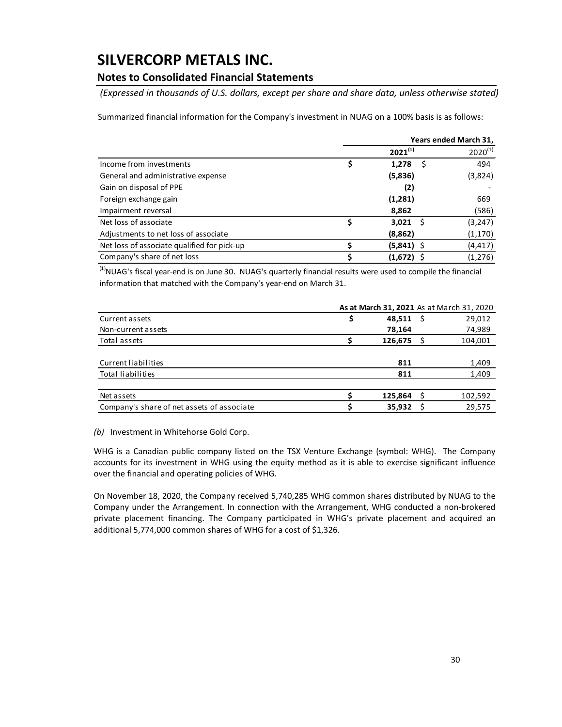### **Notes to Consolidated Financial Statements**

*(Expressed in thousands of U.S. dollars, except per share and share data, unless otherwise stated)*

Summarized financial information for the Company's investment in NUAG on a 100% basis is as follows:

|                                             | Years ended March 31, |              |  |              |  |  |
|---------------------------------------------|-----------------------|--------------|--|--------------|--|--|
|                                             |                       | $2021^{(1)}$ |  | $2020^{(1)}$ |  |  |
| Income from investments                     | \$                    | 1,278        |  | 494          |  |  |
| General and administrative expense          |                       | (5,836)      |  | (3,824)      |  |  |
| Gain on disposal of PPE                     |                       | (2)          |  |              |  |  |
| Foreign exchange gain                       |                       | (1,281)      |  | 669          |  |  |
| Impairment reversal                         |                       | 8,862        |  | (586)        |  |  |
| Net loss of associate                       |                       | $3,021$ \$   |  | (3,247)      |  |  |
| Adjustments to net loss of associate        |                       | (8,862)      |  | (1, 170)     |  |  |
| Net loss of associate qualified for pick-up |                       | $(5,841)$ \$ |  | (4,417)      |  |  |
| Company's share of net loss                 |                       | $(1,672)$ \$ |  | (1,276)      |  |  |

 $<sup>(1)</sup>NUAG's fiscal year-end is on June 30.  $NUAG's$  quarterly financial results were used to compile the financial</sup>$ information that matched with the Company's year-end on March 31.

|                                            |   |         | As at March 31, 2021 As at March 31, 2020 |
|--------------------------------------------|---|---------|-------------------------------------------|
| Current assets                             | Ş | 48.511  | 29,012                                    |
| Non-current assets                         |   | 78,164  | 74,989                                    |
| Total assets                               |   | 126,675 | 104,001                                   |
|                                            |   |         |                                           |
| Current liabilities                        |   | 811     | 1,409                                     |
| Total liabilities                          |   | 811     | 1,409                                     |
|                                            |   |         |                                           |
| Net assets                                 |   | 125,864 | 102,592                                   |
| Company's share of net assets of associate |   | 35,932  | 29.575                                    |

*(b)* Investment in Whitehorse Gold Corp.

WHG is a Canadian public company listed on the TSX Venture Exchange (symbol: WHG). The Company accounts for its investment in WHG using the equity method as it is able to exercise significant influence over the financial and operating policies of WHG.

On November 18, 2020, the Company received 5,740,285 WHG common shares distributed by NUAG to the Company under the Arrangement. In connection with the Arrangement, WHG conducted a non-brokered private placement financing. The Company participated in WHG's private placement and acquired an additional 5,774,000 common shares of WHG for a cost of \$1,326.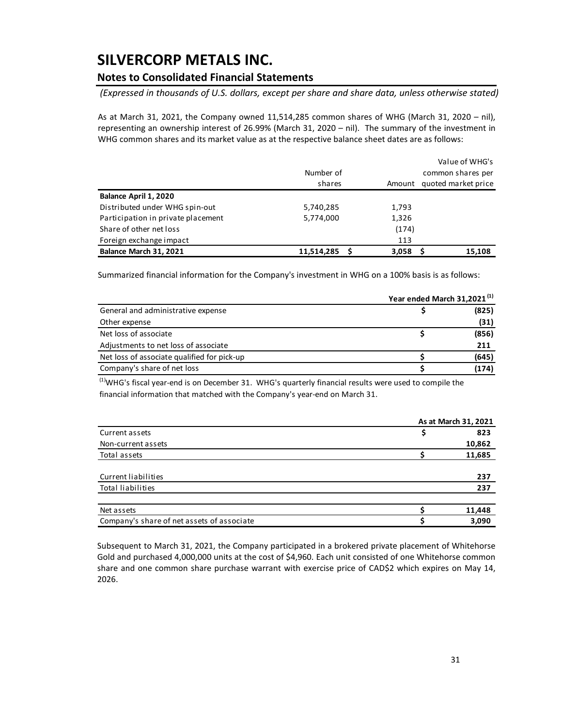### **Notes to Consolidated Financial Statements**

*(Expressed in thousands of U.S. dollars, except per share and share data, unless otherwise stated)*

As at March 31, 2021, the Company owned 11,514,285 common shares of WHG (March 31, 2020 – nil), representing an ownership interest of 26.99% (March 31, 2020 – nil). The summary of the investment in WHG common shares and its market value as at the respective balance sheet dates are as follows:

|                                    |            |        | Value of WHG's      |
|------------------------------------|------------|--------|---------------------|
|                                    | Number of  |        | common shares per   |
|                                    | shares     | Amount | quoted market price |
| Balance April 1, 2020              |            |        |                     |
| Distributed under WHG spin-out     | 5,740,285  | 1,793  |                     |
| Participation in private placement | 5,774,000  | 1,326  |                     |
| Share of other net loss            |            | (174)  |                     |
| Foreign exchange impact            |            | 113    |                     |
| Balance March 31, 2021             | 11,514,285 | 3,058  | 15,108              |

Summarized financial information for the Company's investment in WHG on a 100% basis is as follows:

|                                             | Year ended March 31,2021 <sup>(1)</sup> |  |  |  |  |
|---------------------------------------------|-----------------------------------------|--|--|--|--|
| General and administrative expense          | (825)                                   |  |  |  |  |
| Other expense                               | (31)                                    |  |  |  |  |
| Net loss of associate                       | (856)                                   |  |  |  |  |
| Adjustments to net loss of associate        | 211                                     |  |  |  |  |
| Net loss of associate qualified for pick-up | (645)                                   |  |  |  |  |
| Company's share of net loss                 | (174)                                   |  |  |  |  |

 $<sup>(1)</sup>$ WHG's fiscal year-end is on December 31. WHG's quarterly financial results were used to compile the</sup> financial information that matched with the Company's year-end on March 31.

|                                            | As at March 31, 2021 |
|--------------------------------------------|----------------------|
| Current assets                             | 823                  |
| Non-current assets                         | 10,862               |
| Total assets                               | 11,685               |
|                                            |                      |
| Current liabilities                        | 237                  |
| Total liabilities                          | 237                  |
|                                            |                      |
| Net assets                                 | 11,448               |
| Company's share of net assets of associate | 3,090                |

Subsequent to March 31, 2021, the Company participated in a brokered private placement of Whitehorse Gold and purchased 4,000,000 units at the cost of \$4,960. Each unit consisted of one Whitehorse common share and one common share purchase warrant with exercise price of CAD\$2 which expires on May 14, 2026.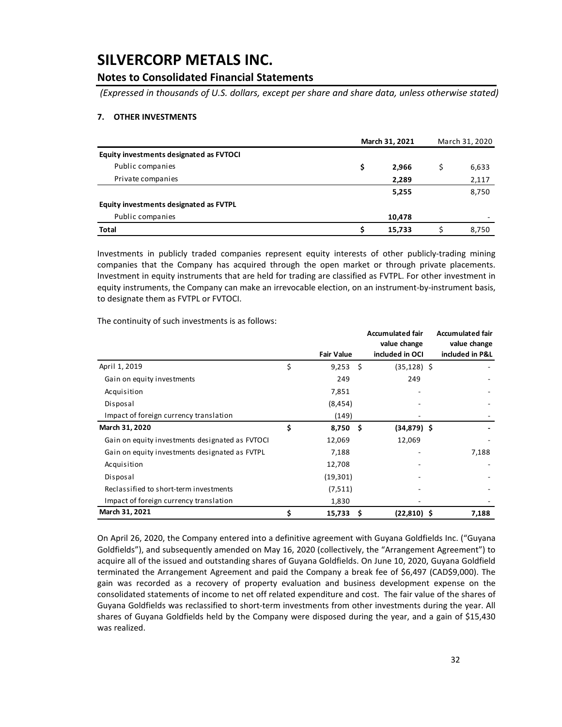### **Notes to Consolidated Financial Statements**

*(Expressed in thousands of U.S. dollars, except per share and share data, unless otherwise stated)*

#### **7. OTHER INVESTMENTS**

|                                         |   | March 31, 2021 |  | March 31, 2020 |
|-----------------------------------------|---|----------------|--|----------------|
| Equity investments designated as FVTOCI |   |                |  |                |
| Public companies                        | s | 2,966          |  | 6,633          |
| Private companies                       |   | 2,289          |  | 2,117          |
|                                         |   | 5,255          |  | 8,750          |
| Equity investments designated as FVTPL  |   |                |  |                |
| Public companies                        |   | 10,478         |  |                |
| <b>Total</b>                            | s | 15,733         |  | 8,750          |

Investments in publicly traded companies represent equity interests of other publicly-trading mining companies that the Company has acquired through the open market or through private placements. Investment in equity instruments that are held for trading are classified as FVTPL. For other investment in equity instruments, the Company can make an irrevocable election, on an instrument-by-instrument basis, to designate them as FVTPL or FVTOCI.

The continuity of such investments is as follows:

|                                                 |                   |      | <b>Accumulated fair</b><br>value change | <b>Accumulated fair</b>         |
|-------------------------------------------------|-------------------|------|-----------------------------------------|---------------------------------|
|                                                 | <b>Fair Value</b> |      | included in OCI                         | value change<br>included in P&L |
| April 1, 2019                                   | \$<br>9,253       | - \$ | (35,128) \$                             |                                 |
| Gain on equity investments                      | 249               |      | 249                                     |                                 |
| Acquisition                                     | 7,851             |      |                                         |                                 |
| Disposal                                        | (8, 454)          |      |                                         |                                 |
| Impact of foreign currency translation          | (149)             |      |                                         |                                 |
| March 31, 2020                                  | \$<br>$8,750$ \$  |      | $(34,879)$ \$                           |                                 |
| Gain on equity investments designated as FVTOCI | 12,069            |      | 12,069                                  |                                 |
| Gain on equity investments designated as FVTPL  | 7,188             |      |                                         | 7,188                           |
| Acquisition                                     | 12,708            |      |                                         |                                 |
| Disposal                                        | (19, 301)         |      |                                         |                                 |
| Reclassified to short-term investments          | (7,511)           |      |                                         |                                 |
| Impact of foreign currency translation          | 1,830             |      |                                         |                                 |
| March 31, 2021                                  | \$<br>15,733      | S    | (22,810) \$                             | 7,188                           |

On April 26, 2020, the Company entered into a definitive agreement with Guyana Goldfields Inc. ("Guyana Goldfields"), and subsequently amended on May 16, 2020 (collectively, the "Arrangement Agreement") to acquire all of the issued and outstanding shares of Guyana Goldfields. On June 10, 2020, Guyana Goldfield terminated the Arrangement Agreement and paid the Company a break fee of \$6,497 (CAD\$9,000). The gain was recorded as a recovery of property evaluation and business development expense on the consolidated statements of income to net off related expenditure and cost. The fair value of the shares of Guyana Goldfields was reclassified to short-term investments from other investments during the year. All shares of Guyana Goldfields held by the Company were disposed during the year, and a gain of \$15,430 was realized.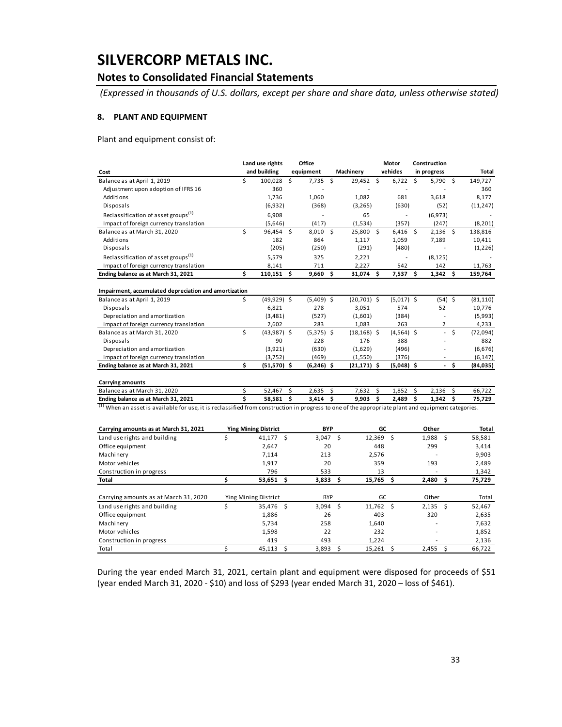### **Notes to Consolidated Financial Statements**

*(Expressed in thousands of U.S. dollars, except per share and share data, unless otherwise stated)*

#### **8. PLANT AND EQUIPMENT**

Plant and equipment consist of:

|                                                                                                                                                               | Land use rights             |    | Office       |            |                |        | Motor          |     | Construction             |                |
|---------------------------------------------------------------------------------------------------------------------------------------------------------------|-----------------------------|----|--------------|------------|----------------|--------|----------------|-----|--------------------------|----------------|
| Cost                                                                                                                                                          | and building                |    | equipment    |            | Machinery      |        | vehicles       |     | in progress              | Total          |
| Balance as at April 1, 2019                                                                                                                                   | \$<br>100,028               | \$ | 7,735 \$     |            | 29,452 \$      |        | 6,722          | Ŝ.  | 5,790 \$                 | 149,727        |
| Adjustment upon adoption of IFRS 16                                                                                                                           | 360                         |    |              |            |                |        |                |     |                          | 360            |
| Additions                                                                                                                                                     | 1,736                       |    | 1,060        |            | 1,082          |        | 681            |     | 3,618                    | 8,177          |
| Disposals                                                                                                                                                     | (6,932)                     |    | (368)        |            | (3,265)        |        | (630)          |     | (52)                     | (11, 247)      |
| Reclassification of asset groups <sup>(1)</sup>                                                                                                               | 6,908                       |    |              |            | 65             |        | $\overline{a}$ |     | (6,973)                  |                |
| Impact of foreign currency translation                                                                                                                        | (5,646)                     |    | (417)        |            | (1,534)        |        | (357)          |     | (247)                    | (8, 201)       |
| Balance as at March 31, 2020                                                                                                                                  | \$<br>96,454                | Ŝ. | 8,010 \$     |            | 25,800 \$      |        | $6,416$ \$     |     | $2,136$ \$               | 138,816        |
| Additions                                                                                                                                                     | 182                         |    | 864          |            | 1,117          |        | 1,059          |     | 7,189                    | 10,411         |
| Disposals                                                                                                                                                     | (205)                       |    | (250)        |            | (291)          |        | (480)          |     |                          | (1,226)        |
| Reclassification of asset groups <sup>(1)</sup>                                                                                                               | 5,579                       |    | 325          |            | 2,221          |        | $\overline{a}$ |     | (8, 125)                 |                |
| Impact of foreign currency translation                                                                                                                        | 8,141                       |    | 711          |            | 2,227          |        | 542            |     | 142                      | 11,763         |
| Ending balance as at March 31, 2021                                                                                                                           | \$<br>110,151               | \$ | 9,660        | \$         | 31,074         | \$     | 7,537          | \$. | $1,342$ \$               | 159,764        |
|                                                                                                                                                               |                             |    |              |            |                |        |                |     |                          |                |
| Impairment, accumulated depreciation and amortization                                                                                                         |                             |    |              |            |                |        |                |     |                          |                |
| Balance as at April 1, 2019                                                                                                                                   | \$<br>$(49, 929)$ \$        |    | $(5,409)$ \$ |            | $(20,701)$ \$  |        | $(5,017)$ \$   |     | $(54)$ \$                | (81, 110)      |
| Disposals                                                                                                                                                     | 6,821                       |    | 278          |            | 3,051          |        | 574            |     | 52                       | 10,776         |
| Depreciation and amortization                                                                                                                                 | (3, 481)                    |    | (527)        |            | (1,601)        |        | (384)          |     | $\sim$                   | (5,993)        |
| Impact of foreign currency translation                                                                                                                        | 2,602                       |    | 283          |            | 1,083          |        | 263            |     | $\overline{2}$           | 4,233          |
| Balance as at March 31, 2020                                                                                                                                  | \$<br>(43,987) \$           |    | $(5,375)$ \$ |            | $(18, 168)$ \$ |        | $(4,564)$ \$   |     | $\sim$                   | \$<br>(72,094) |
| Disposals                                                                                                                                                     | 90                          |    | 228          |            | 176            |        | 388            |     |                          | 882            |
| Depreciation and amortization                                                                                                                                 | (3,921)                     |    | (630)        |            | (1,629)        |        | (496)          |     |                          | (6,676)        |
| Impact of foreign currency translation                                                                                                                        | (3, 752)                    |    | (469)        |            | (1,550)        |        | (376)          |     |                          | (6, 147)       |
| Ending balance as at March 31, 2021                                                                                                                           | \$<br>$(51,570)$ \$         |    | $(6,246)$ \$ |            | $(21, 171)$ \$ |        | $(5,048)$ \$   |     | $\overline{\phantom{a}}$ | \$<br>(84,035) |
| <b>Carrying amounts</b>                                                                                                                                       |                             |    |              |            |                |        |                |     |                          |                |
| Balance as at March 31, 2020                                                                                                                                  | \$<br>52,467                | \$ | 2,635        | \$         | 7,632          | \$     | 1,852          | \$  | $2,136$ \$               | 66,722         |
| Ending balance as at March 31, 2021                                                                                                                           | \$<br>58,581                | Ŝ. | 3.414        | Ŝ.         | 9.903          | Ś      | 2.489          | Ś   | 1,342                    | \$<br>75,729   |
| <sup>(1)</sup> When an asset is available for use, it is reclassified from construction in progress to one of the appropriate plant and equipment categories. |                             |    |              |            |                |        |                |     |                          |                |
|                                                                                                                                                               |                             |    |              |            |                |        |                |     |                          |                |
| Carrying amounts as at March 31, 2021                                                                                                                         | <b>Ying Mining District</b> |    | <b>BYP</b>   |            |                | GC     |                |     | Other                    | Total          |
| Land use rights and building                                                                                                                                  | \$<br>41,177 \$             |    | $3,047$ \$   |            |                | 12,369 | \$             |     | \$<br>1,988              | 58,581         |
| Office equipment                                                                                                                                              | 2,647                       |    | 20           |            |                | 448    |                |     | 299                      | 3,414          |
| Machinery                                                                                                                                                     | 7,114                       |    | 213          |            |                | 2,576  |                |     |                          | 9,903          |
| Motor vehicles                                                                                                                                                | 1,917                       |    | 20           |            |                | 359    |                |     | 193                      | 2,489          |
| Construction in progress                                                                                                                                      | 796                         |    | 533          |            |                | 13     |                |     |                          | 1,342          |
| Total                                                                                                                                                         | \$<br>53,651                | \$ | 3,833        |            | \$             | 15,765 | \$             |     | \$<br>2,480              | 75,729         |
|                                                                                                                                                               |                             |    |              |            |                |        |                |     |                          |                |
| Carrying amounts as at March 31, 2020                                                                                                                         | Ying Mining District        |    |              | <b>BYP</b> |                | GC     |                |     | Other                    | Total          |
| Land use rights and building                                                                                                                                  | \$<br>35,476                | \$ | 3,094        |            | \$             | 11,762 | \$             |     | \$<br>2,135              | 52,467         |
| Office equipment                                                                                                                                              | 1,886                       |    | 26           |            |                | 403    |                |     | 320                      | 2,635          |
| Machinery                                                                                                                                                     | 5,734                       |    | 258          |            |                | 1,640  |                |     |                          | 7,632          |
| Motor vehicles                                                                                                                                                | 1,598                       |    | 22           |            |                | 232    |                |     |                          | 1,852          |
| Construction in progress                                                                                                                                      | 419                         |    | 493          |            |                | 1,224  |                |     |                          | 2,136          |
| Total                                                                                                                                                         | \$<br>45,113                | \$ | 3,893        |            | \$             | 15,261 | \$             |     | \$<br>2,455              | 66,722         |

During the year ended March 31, 2021, certain plant and equipment were disposed for proceeds of \$51 (year ended March 31, 2020 - \$10) and loss of \$293 (year ended March 31, 2020 – loss of \$461).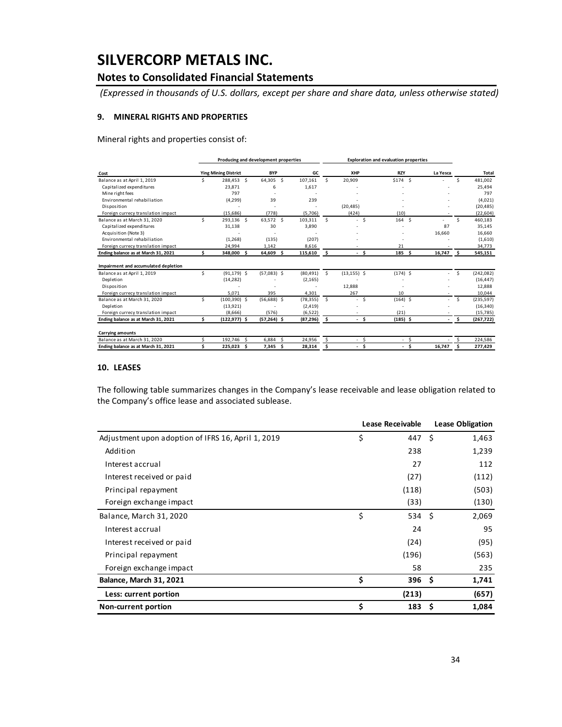### **Notes to Consolidated Financial Statements**

*(Expressed in thousands of U.S. dollars, except per share and share data, unless otherwise stated)*

#### **9. MINERAL RIGHTS AND PROPERTIES**

Mineral rights and properties consist of:

|                                      |    | Producing and development properties |               |    |           | <b>Exploration and evaluation properties</b> |                |      |                          |     |          |     |              |  |  |  |  |
|--------------------------------------|----|--------------------------------------|---------------|----|-----------|----------------------------------------------|----------------|------|--------------------------|-----|----------|-----|--------------|--|--|--|--|
| Cost                                 |    | <b>Ying Mining District</b>          | <b>BYP</b>    |    | GC        |                                              | XHP            |      | <b>RZY</b>               |     | La Yesca |     | <b>Total</b> |  |  |  |  |
| Balance as at April 1, 2019          | Ś. | 288,453 \$                           | 64,305 \$     |    | 107,161   | Ś.                                           | 20,909         |      | \$174S                   |     |          | Ś.  | 481,002      |  |  |  |  |
| Capitalized expenditures             |    | 23,871                               | 6             |    | 1,617     |                                              |                |      |                          |     |          |     | 25,494       |  |  |  |  |
| Mine right fees                      |    | 797                                  |               |    |           |                                              |                |      |                          |     |          |     | 797          |  |  |  |  |
| Environmental rehabiliation          |    | (4, 299)                             | 39            |    | 239       |                                              |                |      |                          |     |          |     | (4,021)      |  |  |  |  |
| Disposition                          |    |                                      |               |    |           |                                              | (20, 485)      |      |                          |     |          |     | (20, 485)    |  |  |  |  |
| Foreign currecy translation impact   |    | (15, 686)                            | (778)         |    | (5,706)   |                                              | (424)          |      | (10)                     |     | ٠        |     | (22, 604)    |  |  |  |  |
| Balance as at March 31, 2020         | Ś. | 293,136 \$                           | 63,572 \$     |    | 103,311   | Ś.                                           | $\sim$         | Ŝ.   | 164S                     |     |          | Ś.  | 460,183      |  |  |  |  |
| Capitalized expenditures             |    | 31,138                               | 30            |    | 3,890     |                                              |                |      |                          |     | 87       |     | 35,145       |  |  |  |  |
| Acquisition (Note 3)                 |    |                                      |               |    |           |                                              |                |      |                          |     | 16,660   |     | 16,660       |  |  |  |  |
| Environmental rehabiliation          |    | (1, 268)                             | (135)         |    | (207)     |                                              |                |      |                          |     |          |     | (1,610)      |  |  |  |  |
| Foreign currecy translation impact   |    | 24,994                               | 1.142         |    | 8.616     |                                              |                |      | 21                       |     |          |     | 34,773       |  |  |  |  |
| Ending balance as at March 31, 2021  | Ś. | 348,000 \$                           | 64,609        | Ŝ. | 115,610   | \$                                           |                | - \$ | 185 <sub>5</sub>         |     | 16,747   | Ś.  | 545,151      |  |  |  |  |
|                                      |    |                                      |               |    |           |                                              |                |      |                          |     |          |     |              |  |  |  |  |
| Impairment and accumulated depletion | Ś. |                                      |               |    |           | Ś.                                           |                |      | $(174)$ \$               |     |          | Ŝ.  |              |  |  |  |  |
| Balance as at April 1, 2019          |    | $(91, 179)$ \$                       | $(57,083)$ \$ |    | (80, 491) |                                              | $(13, 155)$ \$ |      |                          |     |          |     | (242, 082)   |  |  |  |  |
| Depletion                            |    | (14, 282)                            |               |    | (2, 165)  |                                              |                |      |                          |     |          |     | (16, 447)    |  |  |  |  |
| Disposition                          |    |                                      |               |    |           |                                              | 12,888         |      |                          |     |          |     | 12,888       |  |  |  |  |
| Foreign currecy translation impact   | Ś. | 5,071                                | 395           |    | 4,301     |                                              | 267            | $-5$ | 10                       |     |          |     | 10,044       |  |  |  |  |
| Balance as at March 31, 2020         |    | $(100, 390)$ \$                      | $(56,688)$ \$ |    | (78, 355) | \$                                           |                |      | $(164)$ \$               |     | $\sim$   | Ŝ.  | (235, 597)   |  |  |  |  |
| Depletion                            |    | (13, 921)                            |               |    | (2, 419)  |                                              |                |      |                          |     |          |     | (16, 340)    |  |  |  |  |
| Foreign currecy translation impact   |    | (8,666)                              | (576)         |    | (6, 522)  |                                              |                |      | (21)                     |     |          |     | (15, 785)    |  |  |  |  |
| Ending balance as at March 31, 2021  | Ś. | $(122, 977)$ \$                      | $(57,264)$ \$ |    | (87, 296) | \$.                                          |                | - \$ | $(185)$ \$               |     |          | \$. | (267, 722)   |  |  |  |  |
| <b>Carrying amounts</b>              |    |                                      |               |    |           |                                              |                |      |                          |     |          |     |              |  |  |  |  |
| Balance as at March 31, 2020         |    | 192,746 \$                           | $6,884$ \$    |    | 24,956    | \$.                                          | $-5$           |      | $\sim$                   | Ŝ.  |          |     | 224,586      |  |  |  |  |
| Ending balance as at March 31, 2021  |    | 225,023 \$                           | $7,345$ \$    |    | 28,314    |                                              |                | - s  | $\overline{\phantom{a}}$ | \$. | 16,747   | S   | 277,429      |  |  |  |  |

#### **10. LEASES**

The following table summarizes changes in the Company's lease receivable and lease obligation related to the Company's office lease and associated sublease.

|                                                    | Lease Receivable       |     | <b>Lease Obligation</b> |
|----------------------------------------------------|------------------------|-----|-------------------------|
| Adjustment upon adoption of IFRS 16, April 1, 2019 | \$<br>447 S            |     | 1,463                   |
| Addition                                           | 238                    |     | 1,239                   |
| Interest accrual                                   | 27                     |     | 112                     |
| Interest received or paid                          | (27)                   |     | (112)                   |
| Principal repayment                                | (118)                  |     | (503)                   |
| Foreign exchange impact                            | (33)                   |     | (130)                   |
| Balance, March 31, 2020                            | \$<br>534 \$           |     | 2,069                   |
| Interest accrual                                   | 24                     |     | 95                      |
| Interest received or paid                          | (24)                   |     | (95)                    |
| Principal repayment                                | (196)                  |     | (563)                   |
| Foreign exchange impact                            | 58                     |     | 235                     |
| <b>Balance, March 31, 2021</b>                     | \$<br>396 <sup>5</sup> |     | 1,741                   |
| Less: current portion                              | (213)                  |     | (657)                   |
| Non-current portion                                | \$<br>183              | - Ś | 1,084                   |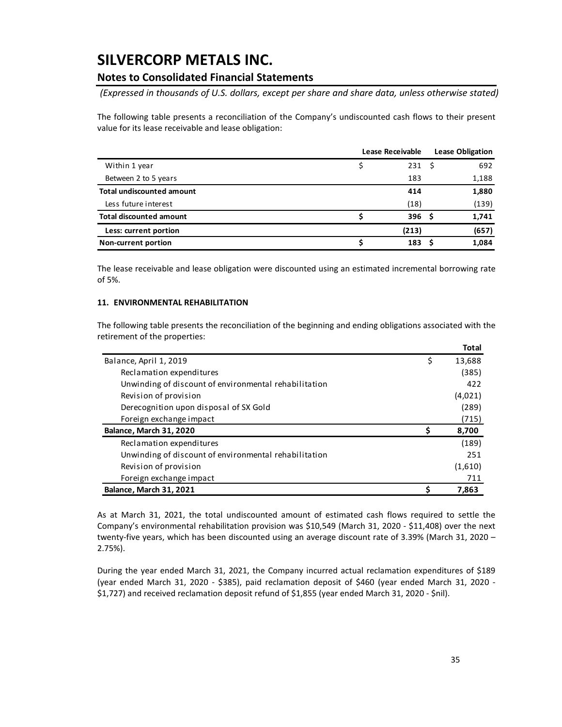### **Notes to Consolidated Financial Statements**

*(Expressed in thousands of U.S. dollars, except per share and share data, unless otherwise stated)*

The following table presents a reconciliation of the Company's undiscounted cash flows to their present value for its lease receivable and lease obligation:

|                                  | Lease Receivable | <b>Lease Obligation</b> |  |       |  |
|----------------------------------|------------------|-------------------------|--|-------|--|
| Within 1 year                    |                  | $231 \quad $5$          |  | 692   |  |
| Between 2 to 5 years             |                  | 183                     |  | 1,188 |  |
| <b>Total undiscounted amount</b> |                  | 414                     |  | 1,880 |  |
| Less future interest             |                  | (18)                    |  | (139) |  |
| <b>Total discounted amount</b>   |                  | 396 <sup>5</sup>        |  | 1,741 |  |
| Less: current portion            |                  | (213)                   |  | (657) |  |
| Non-current portion              |                  | 183                     |  | 1,084 |  |

The lease receivable and lease obligation were discounted using an estimated incremental borrowing rate of 5%.

#### **11. ENVIRONMENTAL REHABILITATION**

The following table presents the reconciliation of the beginning and ending obligations associated with the retirement of the properties:

|                                                       |    | <b>Total</b> |
|-------------------------------------------------------|----|--------------|
| Balance, April 1, 2019                                | \$ | 13,688       |
| Reclamation expenditures                              |    | (385)        |
| Unwinding of discount of environmental rehabilitation |    | 422          |
| Revision of provision                                 |    | (4,021)      |
| Derecognition upon disposal of SX Gold                |    | (289)        |
| Foreign exchange impact                               |    | (715)        |
| <b>Balance, March 31, 2020</b>                        |    | 8,700        |
| Reclamation expenditures                              |    | (189)        |
| Unwinding of discount of environmental rehabilitation |    | 251          |
| Revision of provision                                 |    | (1,610)      |
| Foreign exchange impact                               |    | 711          |
| <b>Balance, March 31, 2021</b>                        | Ś  | 7.863        |

As at March 31, 2021, the total undiscounted amount of estimated cash flows required to settle the Company's environmental rehabilitation provision was \$10,549 (March 31, 2020 - \$11,408) over the next twenty-five years, which has been discounted using an average discount rate of 3.39% (March 31, 2020 – 2.75%).

During the year ended March 31, 2021, the Company incurred actual reclamation expenditures of \$189 (year ended March 31, 2020 - \$385), paid reclamation deposit of \$460 (year ended March 31, 2020 - \$1,727) and received reclamation deposit refund of \$1,855 (year ended March 31, 2020 - \$nil).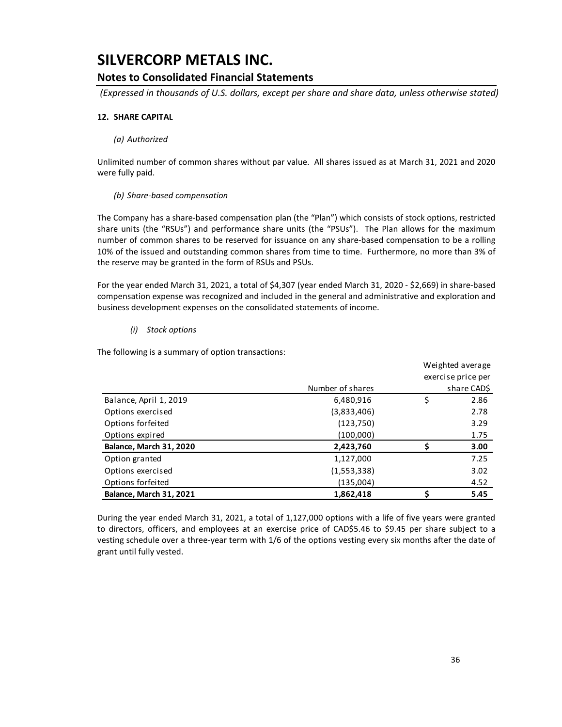### **Notes to Consolidated Financial Statements**

*(Expressed in thousands of U.S. dollars, except per share and share data, unless otherwise stated)*

#### **12. SHARE CAPITAL**

#### *(a) Authorized*

Unlimited number of common shares without par value. All shares issued as at March 31, 2021 and 2020 were fully paid.

#### *(b) Share-based compensation*

The Company has a share-based compensation plan (the "Plan") which consists of stock options, restricted share units (the "RSUs") and performance share units (the "PSUs"). The Plan allows for the maximum number of common shares to be reserved for issuance on any share-based compensation to be a rolling 10% of the issued and outstanding common shares from time to time. Furthermore, no more than 3% of the reserve may be granted in the form of RSUs and PSUs.

For the year ended March 31, 2021, a total of \$4,307 (year ended March 31, 2020 - \$2,669) in share-based compensation expense was recognized and included in the general and administrative and exploration and business development expenses on the consolidated statements of income.

#### *(i) Stock options*

The following is a summary of option transactions:

|                         |                  | Weighted average   |
|-------------------------|------------------|--------------------|
|                         |                  | exercise price per |
|                         | Number of shares | share CAD\$        |
| Balance, April 1, 2019  | 6,480,916        | \$<br>2.86         |
| Options exercised       | (3,833,406)      | 2.78               |
| Options forfeited       | (123, 750)       | 3.29               |
| Options expired         | (100,000)        | 1.75               |
| Balance, March 31, 2020 | 2,423,760        | 3.00               |
| Option granted          | 1,127,000        | 7.25               |
| Options exercised       | (1,553,338)      | 3.02               |
| Options forfeited       | (135,004)        | 4.52               |
| Balance, March 31, 2021 | 1,862,418        | 5.45               |

During the year ended March 31, 2021, a total of 1,127,000 options with a life of five years were granted to directors, officers, and employees at an exercise price of CAD\$5.46 to \$9.45 per share subject to a vesting schedule over a three-year term with 1/6 of the options vesting every six months after the date of grant until fully vested.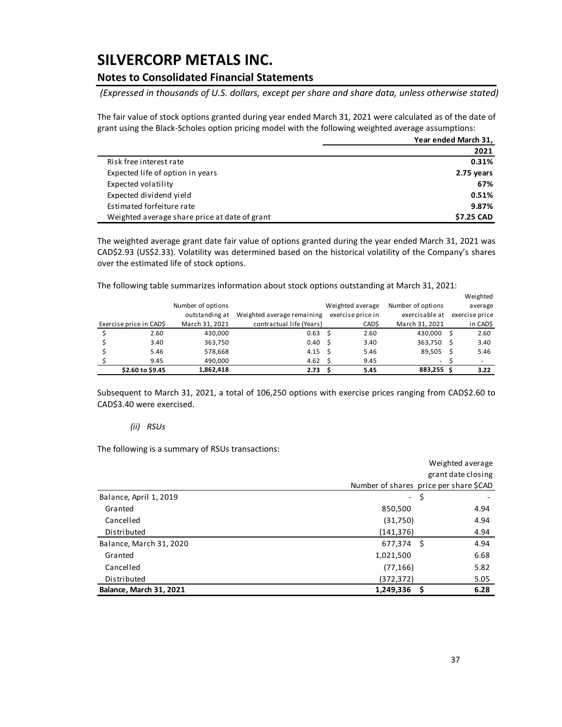### **Notes to Consolidated Financial Statements**

*(Expressed in thousands of U.S. dollars, except per share and share data, unless otherwise stated)*

The fair value of stock options granted during year ended March 31, 2021 were calculated as of the date of grant using the Black-Scholes option pricing model with the following weighted average assumptions:

|                                               | Year ended March 31, |
|-----------------------------------------------|----------------------|
|                                               | 2021                 |
| Risk free interest rate                       | 0.31%                |
| Expected life of option in years              | 2.75 years           |
| Expected volatility                           | 67%                  |
| Expected dividend yield                       | 0.51%                |
| Estimated forfeiture rate                     | 9.87%                |
| Weighted average share price at date of grant | <b>\$7.25 CAD</b>    |

The weighted average grant date fair value of options granted during the year ended March 31, 2021 was CAD\$2.93 (US\$2.33). Volatility was determined based on the historical volatility of the Company's shares over the estimated life of stock options.

The following table summarizes information about stock options outstanding at March 31, 2021:

|                         |                   |                            |                   |       |                          |   | Weighted                 |
|-------------------------|-------------------|----------------------------|-------------------|-------|--------------------------|---|--------------------------|
|                         | Number of options |                            | Weighted average  |       | Number of options        |   | average                  |
|                         | outstanding at    | Weighted average remaining | exercise price in |       | exercisable at           |   | exercise price           |
| Exercise price in CAD\$ | March 31, 2021    | contractual life (Years)   |                   | CAD\$ | March 31, 2021           |   | in CAD\$                 |
| 2.60                    | 430,000           | 0.63                       | - S               | 2.60  | 430.000                  | S | 2.60                     |
| 3.40                    | 363,750           | 0.40                       | -S                | 3.40  | 363,750                  | S | 3.40                     |
| 5.46                    | 578,668           | 4.15                       | -S                | 5.46  | 89,505                   |   | 5.46                     |
| 9.45                    | 490.000           | 4.62                       |                   | 9.45  | $\overline{\phantom{a}}$ |   | $\overline{\phantom{a}}$ |
| \$2.60 to \$9.45        | 1,862,418         | 2.73                       |                   | 5.45  | 883,255                  |   | 3.22                     |

Subsequent to March 31, 2021, a total of 106,250 options with exercise prices ranging from CAD\$2.60 to CAD\$3.40 were exercised.

#### *(ii) RSUs*

The following is a summary of RSUs transactions:

|                         |            | Weighted average                       |
|-------------------------|------------|----------------------------------------|
|                         |            | grant date closing                     |
|                         |            | Number of shares price per share \$CAD |
| Balance, April 1, 2019  |            | - \$                                   |
| Granted                 | 850,500    | 4.94                                   |
| Cancelled               | (31,750)   | 4.94                                   |
| Distributed             | (141, 376) | 4.94                                   |
| Balance, March 31, 2020 | 677,374 \$ | 4.94                                   |
| Granted                 | 1,021,500  | 6.68                                   |
| Cancelled               | (77, 166)  | 5.82                                   |
| Distributed             | (372, 372) | 5.05                                   |
| Balance, March 31, 2021 | 1,249,336  | 6.28                                   |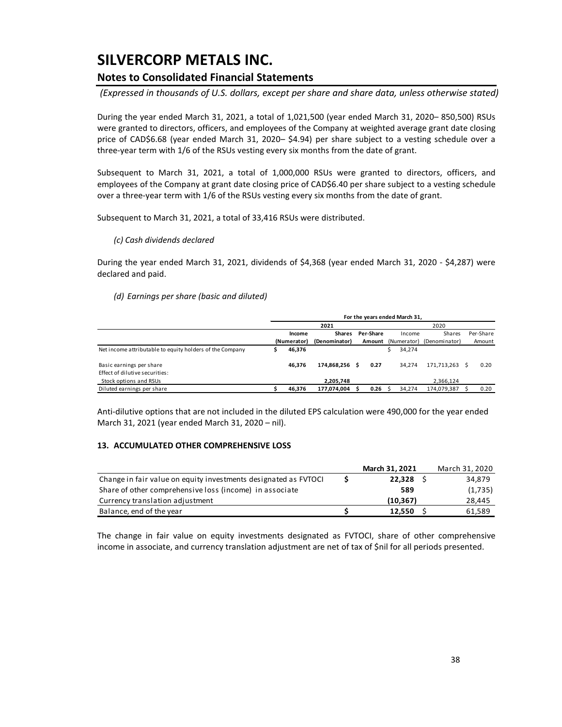### **Notes to Consolidated Financial Statements**

*(Expressed in thousands of U.S. dollars, except per share and share data, unless otherwise stated)*

During the year ended March 31, 2021, a total of 1,021,500 (year ended March 31, 2020– 850,500) RSUs were granted to directors, officers, and employees of the Company at weighted average grant date closing price of CAD\$6.68 (year ended March 31, 2020– \$4.94) per share subject to a vesting schedule over a three-year term with 1/6 of the RSUs vesting every six months from the date of grant.

Subsequent to March 31, 2021, a total of 1,000,000 RSUs were granted to directors, officers, and employees of the Company at grant date closing price of CAD\$6.40 per share subject to a vesting schedule over a three-year term with 1/6 of the RSUs vesting every six months from the date of grant.

Subsequent to March 31, 2021, a total of 33,416 RSUs were distributed.

*(c) Cash dividends declared*

During the year ended March 31, 2021, dividends of \$4,368 (year ended March 31, 2020 - \$4,287) were declared and paid.

*(d) Earnings per share (basic and diluted)* 

|                                                          | For the years ended March 31, |               |  |           |             |        |               |  |           |  |  |
|----------------------------------------------------------|-------------------------------|---------------|--|-----------|-------------|--------|---------------|--|-----------|--|--|
|                                                          |                               | 2021          |  |           |             |        | 2020          |  |           |  |  |
|                                                          | Income                        | <b>Shares</b> |  | Per-Share |             | Income | Shares        |  | Per-Share |  |  |
|                                                          | (Numerator)                   | (Denominator) |  | Amount    | (Numerator) |        | (Denominator) |  | Amount    |  |  |
| Net income attributable to equity holders of the Company | 46,376                        |               |  |           |             | 34.274 |               |  |           |  |  |
| Basic earnings per share                                 | 46.376                        | 174.868.256   |  | 0.27      |             | 34.274 | 171.713.263   |  | 0.20      |  |  |
| Effect of dilutive securities:                           |                               |               |  |           |             |        |               |  |           |  |  |
| Stock options and RSUs                                   |                               | 2.205.748     |  |           |             |        | 2,366,124     |  |           |  |  |
| Diluted earnings per share                               | 46.376                        | 177,074,004   |  | 0.26      |             | 34.274 | 174.079.387   |  | 0.20      |  |  |

Anti-dilutive options that are not included in the diluted EPS calculation were 490,000 for the year ended March 31, 2021 (year ended March 31, 2020 – nil).

#### **13. ACCUMULATED OTHER COMPREHENSIVE LOSS**

|                                                                 | March 31, 2021 | March 31, 2020 |
|-----------------------------------------------------------------|----------------|----------------|
| Change in fair value on equity investments designated as FVTOCI | 22.328         | 34.879         |
| Share of other comprehensive loss (income) in associate         | 589            | (1,735)        |
| Currency translation adjustment                                 | (10.367)       | 28,445         |
| Balance, end of the year                                        | 12.550         | 61,589         |

The change in fair value on equity investments designated as FVTOCI, share of other comprehensive income in associate, and currency translation adjustment are net of tax of \$nil for all periods presented.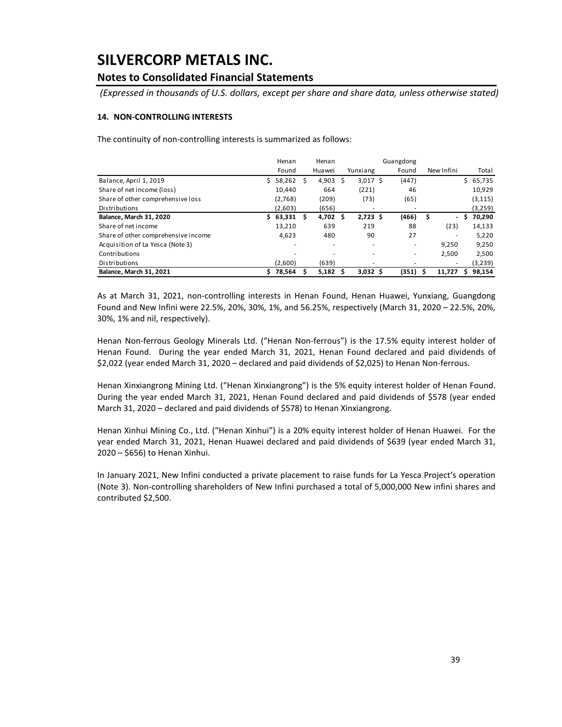### **Notes to Consolidated Financial Statements**

*(Expressed in thousands of U.S. dollars, except per share and share data, unless otherwise stated)*

#### **14. NON-CONTROLLING INTERESTS**

The continuity of non-controlling interests is summarized as follows:

|                                     |    | Henan   |    | Henan           |     |            | Guangdong                |   |            |     |          |
|-------------------------------------|----|---------|----|-----------------|-----|------------|--------------------------|---|------------|-----|----------|
|                                     |    | Found   |    | Huawei          |     | Yunxiang   | Found                    |   | New Infini |     | Total    |
| Balance, April 1, 2019              | S. | 58,262  | Ŝ. | 4,903           | \$. | $3,017$ \$ | (447)                    |   |            | Ś.  | 65,735   |
| Share of net income (loss)          |    | 10.440  |    | 664             |     | (221)      | 46                       |   |            |     | 10,929   |
| Share of other comprehensive loss   |    | (2,768) |    | (209)           |     | (73)       | (65)                     |   |            |     | (3, 115) |
| Distributions                       |    | (2,603) |    | (656)           |     |            | $\overline{\phantom{a}}$ |   |            |     | (3,259)  |
| <b>Balance, March 31, 2020</b>      | S. | 63,331  | s. | $4.702 \quad S$ |     | $2,723$ \$ | (466)                    | S |            | - S | 70,290   |
| Share of net income                 |    | 13,210  |    | 639             |     | 219        | 88                       |   | (23)       |     | 14,133   |
| Share of other comprehensive income |    | 4,623   |    | 480             |     | 90         | 27                       |   | ٠          |     | 5,220    |
| Acquisition of La Yesca (Note 3)    |    |         |    | ٠               |     | ٠          | ٠                        |   | 9.250      |     | 9,250    |
| Contributions                       |    |         |    | ۰               |     |            | ۰                        |   | 2,500      |     | 2,500    |
| Distributions                       |    | (2.600) |    | (639)           |     |            |                          |   |            |     | (3,239)  |
| Balance, March 31, 2021             | s. | 78,564  |    | 5,182           |     | $3,032$ \$ | (351)                    |   | 11.727     | s.  | 98.154   |

As at March 31, 2021, non-controlling interests in Henan Found, Henan Huawei, Yunxiang, Guangdong Found and New Infini were 22.5%, 20%, 30%, 1%, and 56.25%, respectively (March 31, 2020 – 22.5%, 20%, 30%, 1% and nil, respectively).

Henan Non-ferrous Geology Minerals Ltd. ("Henan Non-ferrous") is the 17.5% equity interest holder of Henan Found. During the year ended March 31, 2021, Henan Found declared and paid dividends of \$2,022 (year ended March 31, 2020 – declared and paid dividends of \$2,025) to Henan Non-ferrous.

Henan Xinxiangrong Mining Ltd. ("Henan Xinxiangrong") is the 5% equity interest holder of Henan Found. During the year ended March 31, 2021, Henan Found declared and paid dividends of \$578 (year ended March 31, 2020 – declared and paid dividends of \$578) to Henan Xinxiangrong.

Henan Xinhui Mining Co., Ltd. ("Henan Xinhui") is a 20% equity interest holder of Henan Huawei. For the year ended March 31, 2021, Henan Huawei declared and paid dividends of \$639 (year ended March 31, 2020 – \$656) to Henan Xinhui.

In January 2021, New Infini conducted a private placement to raise funds for La Yesca Project's operation (Note 3). Non-controlling shareholders of New Infini purchased a total of 5,000,000 New infini shares and contributed \$2,500.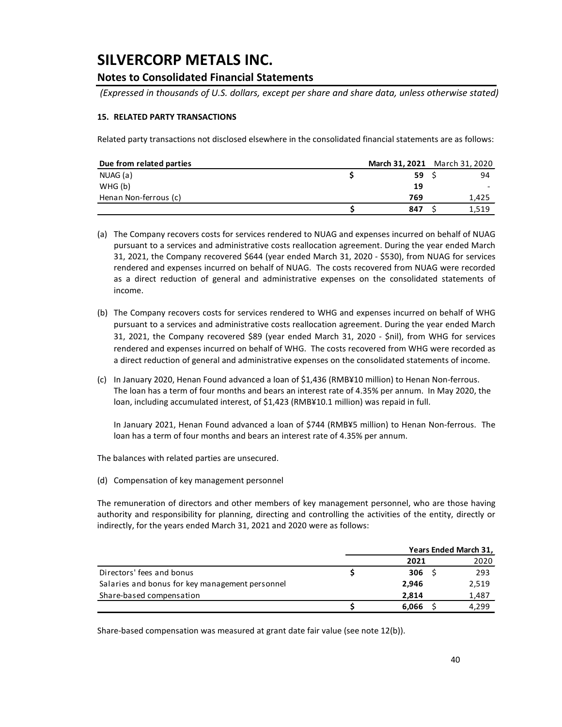### **Notes to Consolidated Financial Statements**

*(Expressed in thousands of U.S. dollars, except per share and share data, unless otherwise stated)*

#### **15. RELATED PARTY TRANSACTIONS**

Related party transactions not disclosed elsewhere in the consolidated financial statements are as follows:

| Due from related parties | March 31, 2021 March 31, 2020 |       |
|--------------------------|-------------------------------|-------|
| NUAG (a)                 | 59                            | 94    |
| WHG(b)                   | 19                            |       |
| Henan Non-ferrous (c)    | 769                           | 1.425 |
|                          | 847                           | 1.519 |

(a) The Company recovers costs for services rendered to NUAG and expenses incurred on behalf of NUAG pursuant to a services and administrative costs reallocation agreement. During the year ended March 31, 2021, the Company recovered \$644 (year ended March 31, 2020 - \$530), from NUAG for services rendered and expenses incurred on behalf of NUAG. The costs recovered from NUAG were recorded as a direct reduction of general and administrative expenses on the consolidated statements of income.

- (b) The Company recovers costs for services rendered to WHG and expenses incurred on behalf of WHG pursuant to a services and administrative costs reallocation agreement. During the year ended March 31, 2021, the Company recovered \$89 (year ended March 31, 2020 - \$nil), from WHG for services rendered and expenses incurred on behalf of WHG. The costs recovered from WHG were recorded as a direct reduction of general and administrative expenses on the consolidated statements of income.
- (c) In January 2020, Henan Found advanced a loan of \$1,436 (RMB¥10 million) to Henan Non-ferrous. The loan has a term of four months and bears an interest rate of 4.35% per annum. In May 2020, the loan, including accumulated interest, of \$1,423 (RMB¥10.1 million) was repaid in full.

In January 2021, Henan Found advanced a loan of \$744 (RMB¥5 million) to Henan Non-ferrous. The loan has a term of four months and bears an interest rate of 4.35% per annum.

The balances with related parties are unsecured.

(d) Compensation of key management personnel

The remuneration of directors and other members of key management personnel, who are those having authority and responsibility for planning, directing and controlling the activities of the entity, directly or indirectly, for the years ended March 31, 2021 and 2020 were as follows:

|                                                 | Years Ended March 31, |       |
|-------------------------------------------------|-----------------------|-------|
|                                                 | 2021                  | 2020  |
| Directors' fees and bonus                       | 306                   | 293   |
| Salaries and bonus for key management personnel | 2.946                 | 2,519 |
| Share-based compensation                        | 2.814                 | 1,487 |
|                                                 | 6.066                 | 4.299 |

Share-based compensation was measured at grant date fair value (see note 12(b)).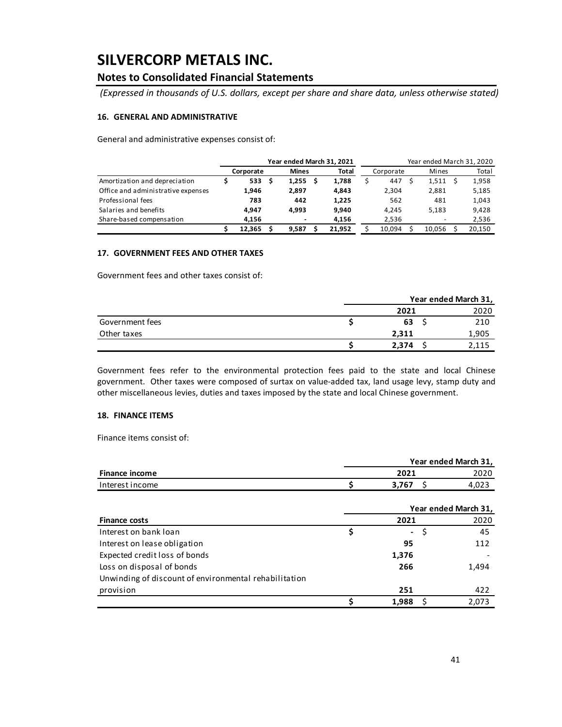### **Notes to Consolidated Financial Statements**

*(Expressed in thousands of U.S. dollars, except per share and share data, unless otherwise stated)*

#### **16. GENERAL AND ADMINISTRATIVE**

General and administrative expenses consist of:

|                                    | Year ended March 31, 2021 |  |                |  |        | Year ended March 31, 2020 |        |  |        |  |        |
|------------------------------------|---------------------------|--|----------------|--|--------|---------------------------|--------|--|--------|--|--------|
|                                    | Corporate                 |  | <b>Mines</b>   |  | Total  | Corporate                 |        |  | Mines  |  | Total  |
| Amortization and depreciation      | 533S                      |  | 1,255          |  | 1,788  |                           | 447    |  | 1,511  |  | 1,958  |
| Office and administrative expenses | 1.946                     |  | 2.897          |  | 4.843  |                           | 2.304  |  | 2,881  |  | 5,185  |
| Professional fees                  | 783                       |  | 442            |  | 1,225  |                           | 562    |  | 481    |  | 1,043  |
| Salaries and benefits              | 4.947                     |  | 4.993          |  | 9.940  |                           | 4.245  |  | 5,183  |  | 9,428  |
| Share-based compensation           | 4.156                     |  | $\blacksquare$ |  | 4.156  |                           | 2.536  |  |        |  | 2,536  |
|                                    | 12.365                    |  | 9.587          |  | 21.952 |                           | 10.094 |  | 10.056 |  | 20.150 |

#### **17. GOVERNMENT FEES AND OTHER TAXES**

Government fees and other taxes consist of:

|                 | Year ended March 31, |  |       |  |
|-----------------|----------------------|--|-------|--|
|                 | 2021                 |  | 2020  |  |
| Government fees | 63                   |  | 210   |  |
| Other taxes     | 2,311                |  | 1,905 |  |
|                 | 2,374                |  |       |  |

Government fees refer to the environmental protection fees paid to the state and local Chinese government. Other taxes were composed of surtax on value-added tax, land usage levy, stamp duty and other miscellaneous levies, duties and taxes imposed by the state and local Chinese government.

#### **18. FINANCE ITEMS**

Finance items consist of:

|                                                       |                                      | Year ended March 31, |
|-------------------------------------------------------|--------------------------------------|----------------------|
| <b>Finance income</b>                                 | 2021                                 | 2020                 |
| Interest income                                       | 3,767                                | 4,023                |
|                                                       |                                      | Year ended March 31, |
| <b>Finance costs</b>                                  | 2021                                 | 2020                 |
| Interest on bank loan                                 | \$<br>\$<br>$\overline{\phantom{0}}$ | 45                   |
| Interest on lease obligation                          | 95                                   | 112                  |
| Expected credit loss of bonds                         | 1,376                                |                      |
| Loss on disposal of bonds                             | 266                                  | 1,494                |
| Unwinding of discount of environmental rehabilitation |                                      |                      |
| provision                                             | 251                                  | 422                  |
|                                                       | 1,988                                | 2,073                |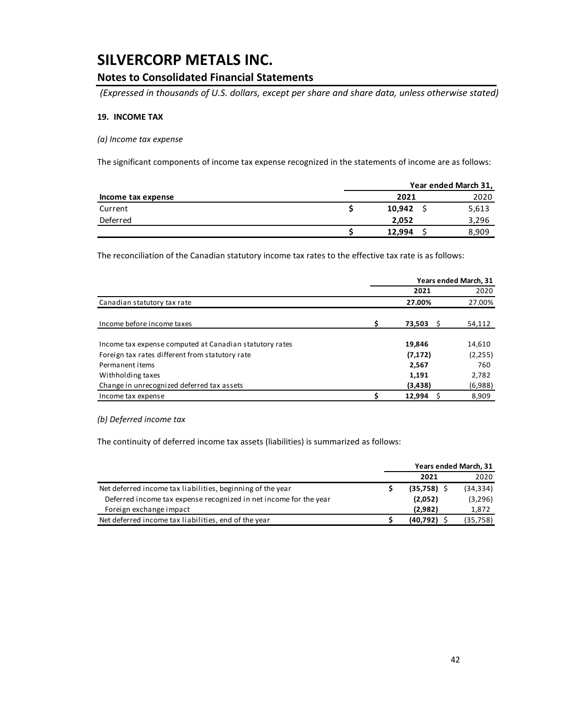### **Notes to Consolidated Financial Statements**

*(Expressed in thousands of U.S. dollars, except per share and share data, unless otherwise stated)*

#### **19. INCOME TAX**

*(a) Income tax expense*

The significant components of income tax expense recognized in the statements of income are as follows:

|                    | Year ended March 31, |  |       |  |  |  |  |  |
|--------------------|----------------------|--|-------|--|--|--|--|--|
| Income tax expense | 2021                 |  | 2020  |  |  |  |  |  |
| Current            | 10,942               |  | 5,613 |  |  |  |  |  |
| Deferred           | 2.052                |  | 3,296 |  |  |  |  |  |
|                    | 12.994               |  | 8.909 |  |  |  |  |  |

The reconciliation of the Canadian statutory income tax rates to the effective tax rate is as follows:

|                                                         | Years ended March, 31 |          |          |  |  |  |
|---------------------------------------------------------|-----------------------|----------|----------|--|--|--|
|                                                         |                       | 2021     | 2020     |  |  |  |
| Canadian statutory tax rate                             |                       | 27.00%   | 27.00%   |  |  |  |
| Income before income taxes                              | Ś                     | 73,503   | 54,112   |  |  |  |
| Income tax expense computed at Canadian statutory rates |                       | 19,846   | 14,610   |  |  |  |
| Foreign tax rates different from statutory rate         |                       | (7, 172) | (2, 255) |  |  |  |
| Permanent items                                         |                       | 2,567    | 760      |  |  |  |
| Withholding taxes                                       |                       | 1,191    | 2,782    |  |  |  |
| Change in unrecognized deferred tax assets              |                       | (3, 438) | (6,988)  |  |  |  |
| Income tax expense                                      |                       | 12,994   | 8,909    |  |  |  |

#### *(b) Deferred income tax*

The continuity of deferred income tax assets (liabilities) is summarized as follows:

|                                                                   | Years ended March, 31 |           |  |  |
|-------------------------------------------------------------------|-----------------------|-----------|--|--|
|                                                                   | 2021                  | 2020      |  |  |
| Net deferred income tax liabilities, beginning of the year        | $(35,758)$ \$         | (34, 334) |  |  |
| Deferred income tax expense recognized in net income for the year | (2,052)               | (3,296)   |  |  |
| Foreign exchange impact                                           | (2,982)               | 1,872     |  |  |
| Net deferred income tax liabilities, end of the year              | (40,792)              | (35, 758) |  |  |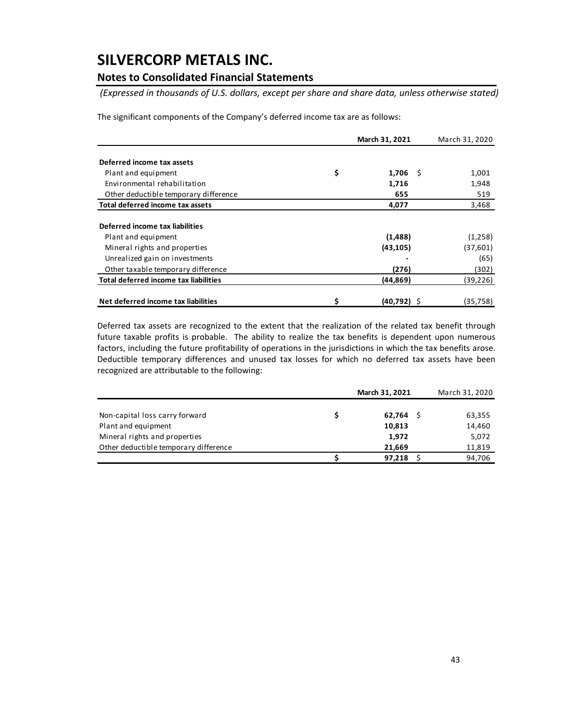### **Notes to Consolidated Financial Statements**

*(Expressed in thousands of U.S. dollars, except per share and share data, unless otherwise stated)*

The significant components of the Company's deferred income tax are as follows:

|                                       | March 31, 2021     | March 31, 2020 |
|---------------------------------------|--------------------|----------------|
|                                       |                    |                |
| Deferred income tax assets            |                    |                |
| Plant and equipment                   | \$<br>1,706<br>- S | 1,001          |
| Environmental rehabilitation          | 1,716              | 1,948          |
| Other deductible temporary difference | 655                | 519            |
| Total deferred income tax assets      | 4,077              | 3,468          |
|                                       |                    |                |
| Deferred income tax liabilities       |                    |                |
| Plant and equipment                   | (1,488)            | (1,258)        |
| Mineral rights and properties         | (43, 105)          | (37,601)       |
| Unrealized gain on investments        |                    | (65)           |
| Other taxable temporary difference    | (276)              | (302)          |
| Total deferred income tax liabilities | (44, 869)          | (39,226)       |
| Net deferred income tax liabilities   | \$<br>(40,792) \$  | (35,758)       |

Deferred tax assets are recognized to the extent that the realization of the related tax benefit through future taxable profits is probable. The ability to realize the tax benefits is dependent upon numerous factors, including the future profitability of operations in the jurisdictions in which the tax benefits arose. Deductible temporary differences and unused tax losses for which no deferred tax assets have been recognized are attributable to the following:

|                                       | March 31, 2021 | March 31, 2020 |
|---------------------------------------|----------------|----------------|
|                                       |                |                |
| Non-capital loss carry forward        | $62,764$ \$    | 63,355         |
| Plant and equipment                   | 10,813         | 14,460         |
| Mineral rights and properties         | 1,972          | 5,072          |
| Other deductible temporary difference | 21,669         | 11,819         |
|                                       | 97,218         | 94,706         |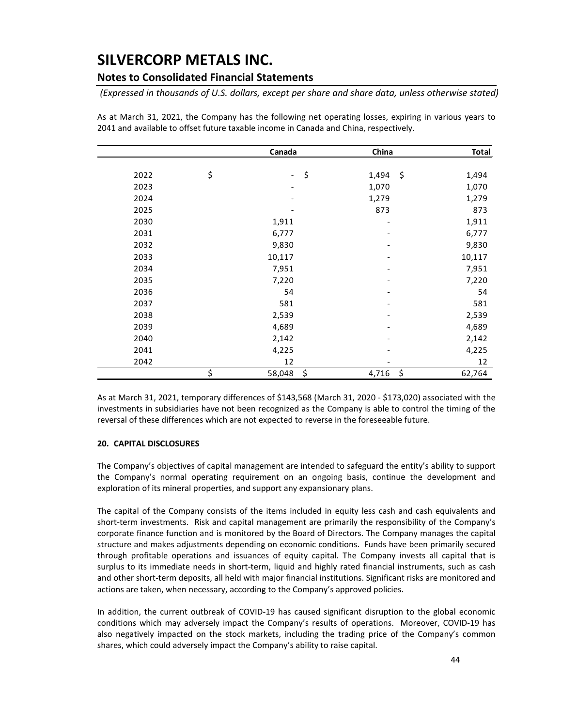### **Notes to Consolidated Financial Statements**

*(Expressed in thousands of U.S. dollars, except per share and share data, unless otherwise stated)*

As at March 31, 2021, the Company has the following net operating losses, expiring in various years to 2041 and available to offset future taxable income in Canada and China, respectively.

|      | Canada                               | China       | <b>Total</b> |
|------|--------------------------------------|-------------|--------------|
|      |                                      |             |              |
| 2022 | \$<br>\$<br>$\overline{\phantom{0}}$ | \$<br>1,494 | 1,494        |
| 2023 | $\overline{\phantom{a}}$             | 1,070       | 1,070        |
| 2024 |                                      | 1,279       | 1,279        |
| 2025 |                                      | 873         | 873          |
| 2030 | 1,911                                |             | 1,911        |
| 2031 | 6,777                                | -           | 6,777        |
| 2032 | 9,830                                | -           | 9,830        |
| 2033 | 10,117                               | -           | 10,117       |
| 2034 | 7,951                                |             | 7,951        |
| 2035 | 7,220                                |             | 7,220        |
| 2036 | 54                                   | -           | 54           |
| 2037 | 581                                  | -           | 581          |
| 2038 | 2,539                                |             | 2,539        |
| 2039 | 4,689                                | -           | 4,689        |
| 2040 | 2,142                                |             | 2,142        |
| 2041 | 4,225                                |             | 4,225        |
| 2042 | 12                                   | -           | 12           |
|      | \$<br>\$<br>58,048                   | \$<br>4,716 | 62,764       |

As at March 31, 2021, temporary differences of \$143,568 (March 31, 2020 - \$173,020) associated with the investments in subsidiaries have not been recognized as the Company is able to control the timing of the reversal of these differences which are not expected to reverse in the foreseeable future.

#### **20. CAPITAL DISCLOSURES**

The Company's objectives of capital management are intended to safeguard the entity's ability to support the Company's normal operating requirement on an ongoing basis, continue the development and exploration of its mineral properties, and support any expansionary plans.

The capital of the Company consists of the items included in equity less cash and cash equivalents and short-term investments. Risk and capital management are primarily the responsibility of the Company's corporate finance function and is monitored by the Board of Directors. The Company manages the capital structure and makes adjustments depending on economic conditions. Funds have been primarily secured through profitable operations and issuances of equity capital. The Company invests all capital that is surplus to its immediate needs in short-term, liquid and highly rated financial instruments, such as cash and other short-term deposits, all held with major financial institutions. Significant risks are monitored and actions are taken, when necessary, according to the Company's approved policies.

In addition, the current outbreak of COVID-19 has caused significant disruption to the global economic conditions which may adversely impact the Company's results of operations. Moreover, COVID-19 has also negatively impacted on the stock markets, including the trading price of the Company's common shares, which could adversely impact the Company's ability to raise capital.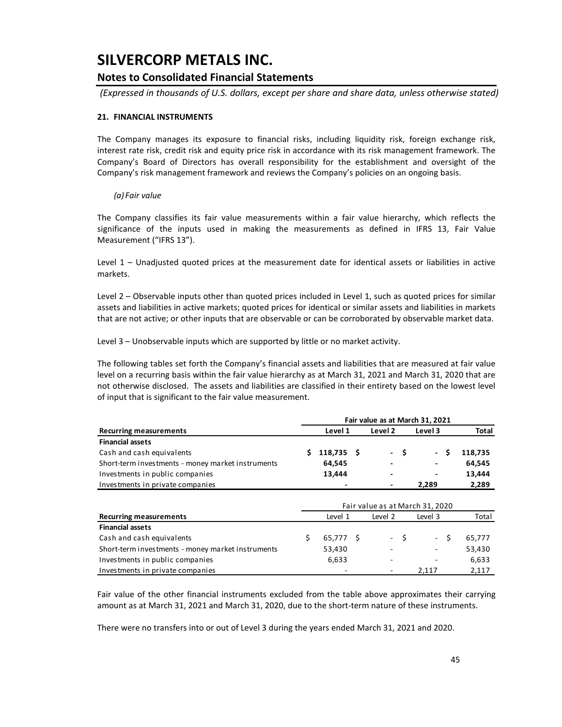### **Notes to Consolidated Financial Statements**

*(Expressed in thousands of U.S. dollars, except per share and share data, unless otherwise stated)*

#### **21. FINANCIAL INSTRUMENTS**

The Company manages its exposure to financial risks, including liquidity risk, foreign exchange risk, interest rate risk, credit risk and equity price risk in accordance with its risk management framework. The Company's Board of Directors has overall responsibility for the establishment and oversight of the Company's risk management framework and reviews the Company's policies on an ongoing basis.

#### *(a) Fair value*

The Company classifies its fair value measurements within a fair value hierarchy, which reflects the significance of the inputs used in making the measurements as defined in IFRS 13, Fair Value Measurement ("IFRS 13").

Level 1 – Unadjusted quoted prices at the measurement date for identical assets or liabilities in active markets.

Level 2 – Observable inputs other than quoted prices included in Level 1, such as quoted prices for similar assets and liabilities in active markets; quoted prices for identical or similar assets and liabilities in markets that are not active; or other inputs that are observable or can be corroborated by observable market data.

Level 3 – Unobservable inputs which are supported by little or no market activity.

The following tables set forth the Company's financial assets and liabilities that are measured at fair value level on a recurring basis within the fair value hierarchy as at March 31, 2021 and March 31, 2020 that are not otherwise disclosed. The assets and liabilities are classified in their entirety based on the lowest level of input that is significant to the fair value measurement.

|                                                   | Fair value as at March 31, 2021 |              |  |                          |      |                          |         |  |  |  |  |  |  |
|---------------------------------------------------|---------------------------------|--------------|--|--------------------------|------|--------------------------|---------|--|--|--|--|--|--|
| Recurring measurements                            |                                 | Level 1      |  | Level <sub>2</sub>       |      | Level 3                  | Total   |  |  |  |  |  |  |
| <b>Financial assets</b>                           |                                 |              |  |                          |      |                          |         |  |  |  |  |  |  |
| Cash and cash equivalents                         |                                 | $118,735$ \$ |  |                          | $-S$ | $\sim$                   | 118.735 |  |  |  |  |  |  |
| Short-term investments - money market instruments |                                 | 64,545       |  | $\overline{\phantom{0}}$ |      | $\overline{\phantom{0}}$ | 64.545  |  |  |  |  |  |  |
| Investments in public companies                   |                                 | 13,444       |  | -                        |      | $\overline{\phantom{0}}$ | 13,444  |  |  |  |  |  |  |
| Investments in private companies                  |                                 |              |  |                          |      | 2.289                    | 2,289   |  |  |  |  |  |  |
|                                                   |                                 |              |  |                          |      |                          |         |  |  |  |  |  |  |

|                                                   |                    | Fair value as at March 31, 2020 |  |   |      |         |        |
|---------------------------------------------------|--------------------|---------------------------------|--|---|------|---------|--------|
| Recurring measurements                            | Level 2<br>Level 1 |                                 |  |   |      | Level 3 | Total  |
| <b>Financial assets</b>                           |                    |                                 |  |   |      |         |        |
| Cash and cash equivalents                         |                    | 65.777 \$                       |  |   | $-S$ | $-5$    | 65.777 |
| Short-term investments - money market instruments |                    | 53,430                          |  | - |      | -       | 53,430 |
| Investments in public companies                   |                    | 6,633                           |  | ٠ |      | ۰       | 6,633  |
| Investments in private companies                  |                    |                                 |  |   |      | 2.117   | 2.117  |

Fair value of the other financial instruments excluded from the table above approximates their carrying amount as at March 31, 2021 and March 31, 2020, due to the short-term nature of these instruments.

There were no transfers into or out of Level 3 during the years ended March 31, 2021 and 2020.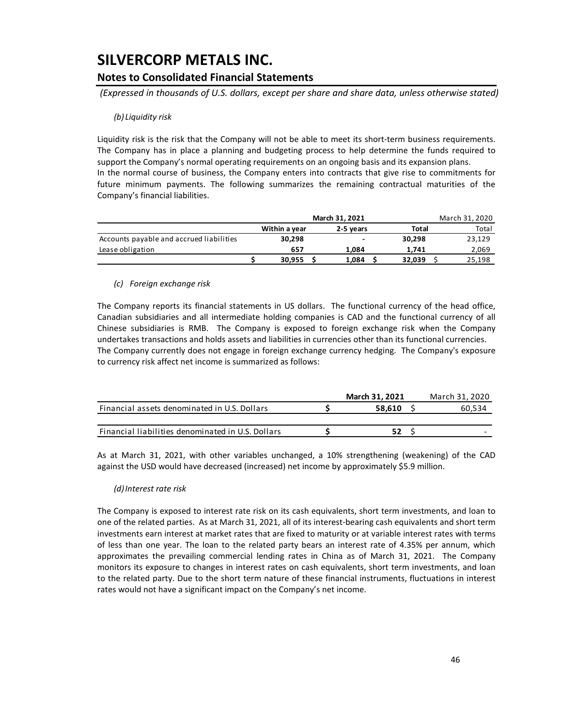*(Expressed in thousands of U.S. dollars, except per share and share data, unless otherwise stated)*

#### *(b) Liquidity risk*

Liquidity risk is the risk that the Company will not be able to meet its short-term business requirements. The Company has in place a planning and budgeting process to help determine the funds required to support the Company's normal operating requirements on an ongoing basis and its expansion plans. In the normal course of business, the Company enters into contracts that give rise to commitments for future minimum payments. The following summarizes the remaining contractual maturities of the Company's financial liabilities.

|                                          |               | March 31, 2020 |       |        |        |
|------------------------------------------|---------------|----------------|-------|--------|--------|
|                                          | Within a year | Total          | Total |        |        |
| Accounts payable and accrued liabilities | 30.298        | ۰              |       | 30.298 | 23,129 |
| Lease obligation                         | 657           | 1.084          |       | 1.741  | 2,069  |
|                                          | 30.955        | 1.084          |       | 32.039 | 25,198 |

#### *(c) Foreign exchange risk*

The Company reports its financial statements in US dollars. The functional currency of the head office, Canadian subsidiaries and all intermediate holding companies is CAD and the functional currency of all Chinese subsidiaries is RMB. The Company is exposed to foreign exchange risk when the Company undertakes transactions and holds assets and liabilities in currencies other than its functional currencies. The Company currently does not engage in foreign exchange currency hedging. The Company's exposure to currency risk affect net income is summarized as follows:

|                                                   | March 31, 2021 | March 31, 2020 |
|---------------------------------------------------|----------------|----------------|
| Financial assets denominated in U.S. Dollars      | 58.610         | 60.534         |
|                                                   |                |                |
| Financial liabilities denominated in U.S. Dollars | 52             |                |

As at March 31, 2021, with other variables unchanged, a 10% strengthening (weakening) of the CAD against the USD would have decreased (increased) net income by approximately \$5.9 million.

#### *(d)Interest rate risk*

The Company is exposed to interest rate risk on its cash equivalents, short term investments, and loan to one of the related parties. As at March 31, 2021, all of its interest-bearing cash equivalents and short term investments earn interest at market rates that are fixed to maturity or at variable interest rates with terms of less than one year. The loan to the related party bears an interest rate of 4.35% per annum, which approximates the prevailing commercial lending rates in China as of March 31, 2021. The Company monitors its exposure to changes in interest rates on cash equivalents, short term investments, and loan to the related party. Due to the short term nature of these financial instruments, fluctuations in interest rates would not have a significant impact on the Company's net income.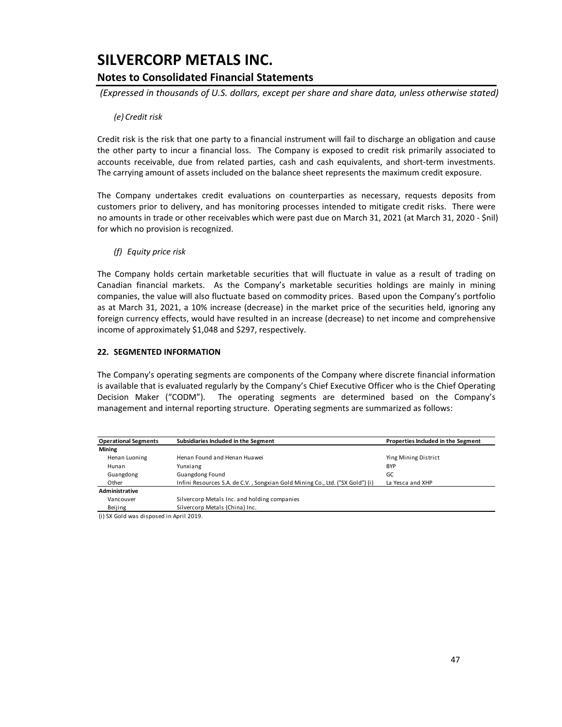*(Expressed in thousands of U.S. dollars, except per share and share data, unless otherwise stated)*

#### *(e) Credit risk*

Credit risk is the risk that one party to a financial instrument will fail to discharge an obligation and cause the other party to incur a financial loss. The Company is exposed to credit risk primarily associated to accounts receivable, due from related parties, cash and cash equivalents, and short-term investments. The carrying amount of assets included on the balance sheet represents the maximum credit exposure.

The Company undertakes credit evaluations on counterparties as necessary, requests deposits from customers prior to delivery, and has monitoring processes intended to mitigate credit risks. There were no amounts in trade or other receivables which were past due on March 31, 2021 (at March 31, 2020 - \$nil) for which no provision is recognized.

*(f) Equity price risk*

The Company holds certain marketable securities that will fluctuate in value as a result of trading on Canadian financial markets. As the Company's marketable securities holdings are mainly in mining companies, the value will also fluctuate based on commodity prices. Based upon the Company's portfolio as at March 31, 2021, a 10% increase (decrease) in the market price of the securities held, ignoring any foreign currency effects, would have resulted in an increase (decrease) to net income and comprehensive income of approximately \$1,048 and \$297, respectively.

#### **22. SEGMENTED INFORMATION**

The Company's operating segments are components of the Company where discrete financial information is available that is evaluated regularly by the Company's Chief Executive Officer who is the Chief Operating Decision Maker ("CODM"). The operating segments are determined based on the Company's management and internal reporting structure. Operating segments are summarized as follows:

| <b>Operational Segments</b> | Subsidiaries Included in the Segment                                          | Properties Included in the Segment |
|-----------------------------|-------------------------------------------------------------------------------|------------------------------------|
| <b>Mining</b>               |                                                                               |                                    |
| Henan Luoning               | Henan Found and Henan Huawei                                                  | Ying Mining District               |
| Hunan                       | Yunxiang                                                                      | <b>BYP</b>                         |
| Guangdong                   | Guangdong Found                                                               | GC                                 |
| Other                       | Infini Resources S.A. de C.V., Songxian Gold Mining Co., Ltd. ("SX Gold") (i) | La Yesca and XHP                   |
| Administrative              |                                                                               |                                    |
| Vancouver                   | Silvercorp Metals Inc. and holding companies                                  |                                    |
| Beijing                     | Silvercorp Metals (China) Inc.                                                |                                    |

(i) SX Gold was disposed in April 2019.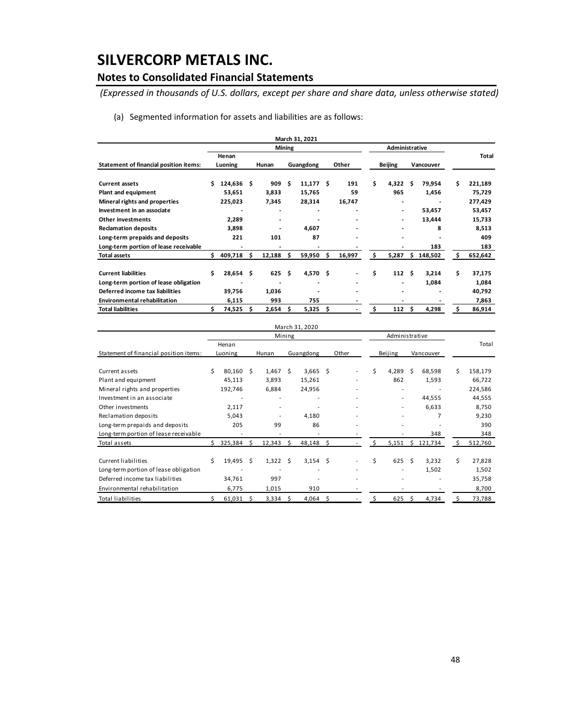### **Notes to Consolidated Financial Statements**

*(Expressed in thousands of U.S. dollars, except per share and share data, unless otherwise stated)*

(a) Segmented information for assets and liabilities are as follows:

|                                        |    |                  |    |        |               | March 31, 2021 |    |                |                |       |           |         |    |         |  |
|----------------------------------------|----|------------------|----|--------|---------------|----------------|----|----------------|----------------|-------|-----------|---------|----|---------|--|
|                                        |    |                  |    |        | <b>Mining</b> |                |    | Administrative |                |       |           |         |    |         |  |
| Statement of financial position items: |    | Henan<br>Luoning |    | Hunan  |               | Guangdong      |    | Other          | <b>Beijing</b> |       | Vancouver |         |    | Total   |  |
| <b>Current assets</b>                  | Ś  | $124,636$ \$     |    | 909    | Ŝ             | 11,177         | S  | 191            | \$             | 4,322 | -S        | 79,954  | Ś  | 221,189 |  |
| Plant and equipment                    |    | 53,651           |    | 3,833  |               | 15,765         |    | 59             |                | 965   |           | 1,456   |    | 75,729  |  |
| Mineral rights and properties          |    | 225,023          |    | 7,345  |               | 28,314         |    | 16,747         |                | ٠     |           |         |    | 277,429 |  |
| Investment in an associate             |    |                  |    |        |               |                |    |                |                |       |           | 53,457  |    | 53,457  |  |
| <b>Other investments</b>               |    | 2,289            |    |        |               |                |    |                |                |       |           | 13,444  |    | 15,733  |  |
| <b>Reclamation deposits</b>            |    | 3,898            |    |        |               | 4,607          |    |                |                |       |           | 8       |    | 8,513   |  |
| Long-term prepaids and deposits        |    | 221              |    | 101    |               | 87             |    |                |                |       |           |         |    | 409     |  |
| Long-term portion of lease receivable  |    |                  |    |        |               |                |    |                |                |       |           | 183     |    | 183     |  |
| <b>Total assets</b>                    | Ŝ. | 409,718          | -S | 12,188 | S             | 59,950         | Ŝ  | 16,997         | \$             | 5,287 | Ŝ.        | 148,502 | S  | 652,642 |  |
| <b>Current liabilities</b>             | Ś  | $28,654$ \$      |    | 625    | - \$          | 4,570 \$       |    |                | Ś              | 112   | Ŝ         | 3,214   | Ś. | 37,175  |  |
| Long-term portion of lease obligation  |    |                  |    |        |               | ٠              |    |                |                |       |           | 1,084   |    | 1,084   |  |
| Deferred income tax liabilities        |    | 39,756           |    | 1,036  |               |                |    |                |                | ٠     |           |         |    | 40,792  |  |
| <b>Environmental rehabilitation</b>    |    | 6,115            |    | 993    |               | 755            |    |                |                |       |           |         |    | 7,863   |  |
| <b>Total liabilities</b>               |    | 74,525           | S  | 2,654  | Ŝ             | 5,325          | \$ |                | Ś              | 112   | S         | 4,298   | S  | 86,914  |  |

|                                        |    |                  |   |        |    | March 31, 2020 |     |                          |  |                |                          |    |           |   |         |
|----------------------------------------|----|------------------|---|--------|----|----------------|-----|--------------------------|--|----------------|--------------------------|----|-----------|---|---------|
|                                        |    | Mining           |   |        |    |                |     |                          |  | Administrative |                          |    |           |   |         |
| Statement of financial position items: |    | Henan<br>Luoning |   | Hunan  |    | Guangdong      |     | Other                    |  |                | Beijing                  |    | Vancouver |   | Total   |
|                                        |    |                  |   |        |    |                |     |                          |  |                |                          |    |           |   |         |
| Current assets                         | Ś  | 80,160 \$        |   | 1,467  | Ŝ. | $3,665$ \$     |     |                          |  | Ś              | 4,289                    | Ŝ. | 68,598    | Ś | 158,179 |
| Plant and equipment                    |    | 45,113           |   | 3,893  |    | 15,261         |     |                          |  |                | 862                      |    | 1,593     |   | 66,722  |
| Mineral rights and properties          |    | 192,746          |   | 6,884  |    | 24,956         |     |                          |  |                |                          |    |           |   | 224,586 |
| Investment in an associate             |    |                  |   |        |    | $\overline{a}$ |     |                          |  |                | $\overline{\phantom{a}}$ |    | 44,555    |   | 44,555  |
| Other investments                      |    | 2,117            |   |        |    |                |     |                          |  |                | ٠                        |    | 6,633     |   | 8,750   |
| Reclamation deposits                   |    | 5,043            |   |        |    | 4,180          |     |                          |  |                |                          |    | 7         |   | 9,230   |
| Long-term prepaids and deposits        |    | 205              |   | 99     |    | 86             |     | $\overline{\phantom{a}}$ |  |                |                          |    |           |   | 390     |
| Long-term portion of lease receivable  |    |                  |   |        |    | $\overline{a}$ |     |                          |  |                |                          |    | 348       |   | 348     |
| Total assets                           |    | 325,384          | Ŝ | 12,343 | Ś  | 48,148         | -\$ |                          |  |                | 5,151                    | Ŝ. | 121,734   | S | 512,760 |
| Current liabilities                    | Ś. | 19,495           | Ŝ | 1,322  | Ŝ. | $3,154$ \$     |     |                          |  | Ś.             | 625                      | Ŝ. | 3,232     | Ś | 27,828  |
| Long-term portion of lease obligation  |    |                  |   |        |    |                |     |                          |  |                |                          |    | 1,502     |   | 1,502   |
| Deferred income tax liabilities        |    | 34,761           |   | 997    |    |                |     |                          |  |                |                          |    |           |   | 35,758  |
| Environmental rehabilitation           |    | 6,775            |   | 1,015  |    | 910            |     |                          |  |                |                          |    |           |   | 8,700   |
| <b>Total liabilities</b>               |    | 61,031           | Ŝ | 3,334  | Ŝ  | $4,064$ \$     |     |                          |  |                | 625                      | S  | 4,734     | Ś | 73,788  |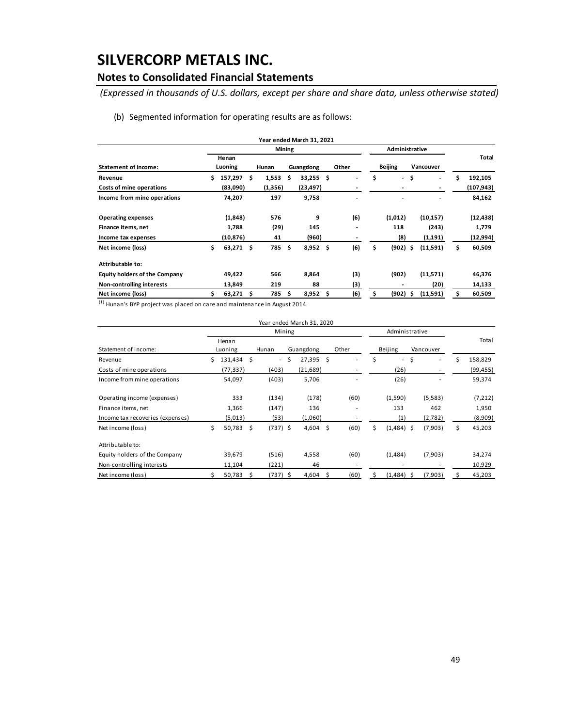### **Notes to Consolidated Financial Statements**

*(Expressed in thousands of U.S. dollars, except per share and share data, unless otherwise stated)*

(b) Segmented information for operating results are as follows:

| <b>Mining</b> |           |         |                          |   |                  |           |                                         | Administrative            |                          |                |                              |           |           |
|---------------|-----------|---------|--------------------------|---|------------------|-----------|-----------------------------------------|---------------------------|--------------------------|----------------|------------------------------|-----------|-----------|
|               | Henan     |         |                          |   |                  |           |                                         |                           |                          |                |                              |           | Total     |
|               |           |         | Hunan                    |   |                  |           | Other                                   |                           |                          |                |                              |           |           |
| Ś             | 157,297   | Ŝ       | 1,553                    | Ŝ |                  |           | $\blacksquare$                          | \$                        | $\overline{\phantom{0}}$ | \$             | $\qquad \qquad \blacksquare$ | Ś         | 192,105   |
|               | (83,090)  |         |                          |   | (23, 497)        |           |                                         |                           | $\overline{\phantom{0}}$ |                |                              |           | (107,943) |
|               | 74,207    |         | 197                      |   | 9,758            |           |                                         |                           |                          |                | $\blacksquare$               |           | 84,162    |
|               | (1,848)   |         | 576                      |   | 9                |           | (6)                                     |                           | (1,012)                  |                | (10, 157)                    |           | (12, 438) |
|               | 1,788     |         | (29)                     |   | 145              |           |                                         |                           | 118                      |                | (243)                        |           | 1,779     |
|               | (10, 876) |         | 41                       |   | (960)            |           | $\overline{\phantom{a}}$                |                           | (8)                      |                | (1, 191)                     |           | (12,994)  |
| \$            |           |         | 785                      |   |                  |           | (6)                                     | \$                        |                          |                | (11,591)                     | \$        | 60,509    |
|               |           |         |                          |   |                  |           |                                         |                           |                          |                |                              |           |           |
|               | 49,422    |         | 566                      |   | 8,864            |           | (3)                                     |                           | (902)                    |                | (11,571)                     |           | 46,376    |
|               | 13,849    |         | 219                      |   | 88               |           | (3)                                     |                           | ٠                        |                | (20)                         |           | 14,133    |
| Ŝ             |           |         | 785                      | S |                  |           | (6)                                     | \$                        |                          |                | (11,591)                     | S         | 60,509    |
|               |           | Luoning | 63,271 \$<br>$63,271$ \$ |   | (1, 356)<br>- \$ | Guangdong | $33,255$ \$<br>$8,952$ \$<br>$8,952$ \$ | Year ended March 31, 2021 |                          | <b>Beijing</b> | $(902)$ \$<br>$(902)$ \$     | Vancouver |           |

 $(1)$  Hunan's BYP project was placed on care and maintenance in August 2014.

|                                  |    |            |        |            |                | Year ended March 31, 2020 |     |                          |    |              |    |                          |    |           |
|----------------------------------|----|------------|--------|------------|----------------|---------------------------|-----|--------------------------|----|--------------|----|--------------------------|----|-----------|
|                                  |    |            | Mining |            | Administrative |                           |     |                          |    |              |    |                          |    |           |
|                                  |    | Henan      |        |            |                |                           |     |                          |    |              |    |                          |    | Total     |
| Statement of income:             |    | Luoning    |        | Hunan      |                | Guangdong                 |     | Other                    |    | Beijing      |    | Vancouver                |    |           |
| Revenue                          | Ś  | 131,434 \$ |        | $\sim$     | Ś              | 27,395                    | -Ś  | $\overline{\phantom{a}}$ | \$ | ٠            | \$ | ٠                        |    | 158,829   |
| Costs of mine operations         |    | (77, 337)  |        | (403)      |                | (21, 689)                 |     |                          |    | (26)         |    | $\overline{\phantom{a}}$ |    | (99, 455) |
| Income from mine operations      |    | 54,097     |        | (403)      |                | 5,706                     |     |                          |    | (26)         |    |                          |    | 59,374    |
| Operating income (expenses)      |    | 333        |        | (134)      |                | (178)                     |     | (60)                     |    | (1,590)      |    | (5,583)                  |    | (7, 212)  |
| Finance items, net               |    | 1,366      |        | (147)      |                | 136                       |     |                          |    | 133          |    | 462                      |    | 1,950     |
| Income tax recoveries (expenses) |    | (5,013)    |        | (53)       |                | (1,060)                   |     |                          |    | (1)          |    | (2,782)                  |    | (8,909)   |
| Net income (loss)                | \$ | 50,783     | -\$    | $(737)$ \$ |                | 4,604                     | \$  | (60)                     | Ś. | (1,484) \$   |    | (7,903)                  | Ś. | 45,203    |
| Attributable to:                 |    |            |        |            |                |                           |     |                          |    |              |    |                          |    |           |
| Equity holders of the Company    |    | 39,679     |        | (516)      |                | 4,558                     |     | (60)                     |    | (1,484)      |    | (7,903)                  |    | 34,274    |
| Non-controlling interests        |    | 11,104     |        | (221)      |                | 46                        |     |                          |    |              |    |                          |    | 10,929    |
| Net income (loss)                |    | 50,783     | - S    | (737) \$   |                | 4,604                     | - S | (60)                     |    | $(1,484)$ \$ |    | (7,903)                  |    | 45,203    |